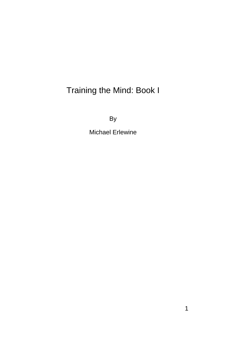# Training the Mind: Book I

By

Michael Erlewine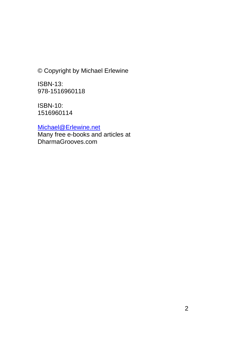© Copyright by Michael Erlewine

ISBN-13: 978-1516960118

ISBN-10: 1516960114

[Michael@Erlewine.net](mailto:Michael@Erlewine.net)

Many free e-books and articles at DharmaGrooves.com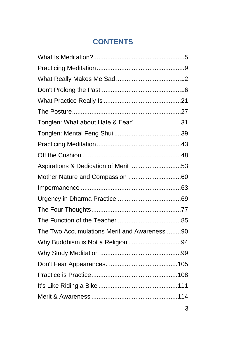## **CONTENTS**

| Tonglen: What about Hate & Fear'31           |  |
|----------------------------------------------|--|
|                                              |  |
|                                              |  |
|                                              |  |
| Aspirations & Dedication of Merit 53         |  |
|                                              |  |
|                                              |  |
|                                              |  |
|                                              |  |
|                                              |  |
| The Two Accumulations Merit and Awareness 90 |  |
|                                              |  |
|                                              |  |
|                                              |  |
|                                              |  |
|                                              |  |
|                                              |  |
|                                              |  |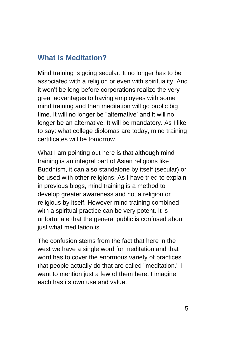#### <span id="page-4-0"></span>**What Is Meditation?**

Mind training is going secular. It no longer has to be associated with a religion or even with spirituality. And it won't be long before corporations realize the very great advantages to having employees with some mind training and then meditation will go public big time. It will no longer be "alternative' and it will no longer be an alternative. It will be mandatory. As I like to say: what college diplomas are today, mind training certificates will be tomorrow.

What I am pointing out here is that although mind training is an integral part of Asian religions like Buddhism, it can also standalone by itself (secular) or be used with other religions. As I have tried to explain in previous blogs, mind training is a method to develop greater awareness and not a religion or religious by itself. However mind training combined with a spiritual practice can be very potent. It is unfortunate that the general public is confused about just what meditation is.

The confusion stems from the fact that here in the west we have a single word for meditation and that word has to cover the enormous variety of practices that people actually do that are called "meditation." I want to mention just a few of them here. I imagine each has its own use and value.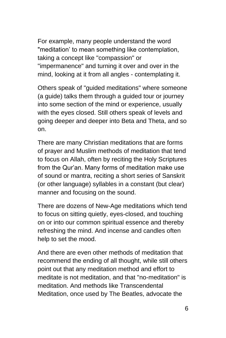For example, many people understand the word "meditation' to mean something like contemplation, taking a concept like "compassion" or "impermanence" and turning it over and over in the mind, looking at it from all angles - contemplating it.

Others speak of "guided meditations" where someone (a guide) talks them through a guided tour or journey into some section of the mind or experience, usually with the eyes closed. Still others speak of levels and going deeper and deeper into Beta and Theta, and so on.

There are many Christian meditations that are forms of prayer and Muslim methods of meditation that tend to focus on Allah, often by reciting the Holy Scriptures from the Qur'an. Many forms of meditation make use of sound or mantra, reciting a short series of Sanskrit (or other language) syllables in a constant (but clear) manner and focusing on the sound.

There are dozens of New-Age meditations which tend to focus on sitting quietly, eyes-closed, and touching on or into our common spiritual essence and thereby refreshing the mind. And incense and candles often help to set the mood.

And there are even other methods of meditation that recommend the ending of all thought, while still others point out that any meditation method and effort to meditate is not meditation, and that "no-meditation" is meditation. And methods like Transcendental Meditation, once used by The Beatles, advocate the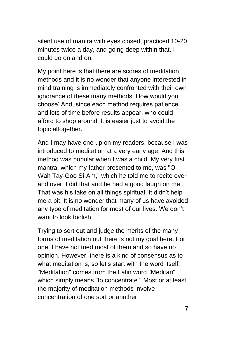silent use of mantra with eyes closed, practiced 10-20 minutes twice a day, and going deep within that. I could go on and on.

My point here is that there are scores of meditation methods and it is no wonder that anyone interested in mind training is immediately confronted with their own ignorance of these many methods. How would you choose' And, since each method requires patience and lots of time before results appear, who could afford to shop around' It is easier just to avoid the topic altogether.

And I may have one up on my readers, because I was introduced to meditation at a very early age. And this method was popular when I was a child. My very first mantra, which my father presented to me, was "O Wah Tay-Goo Si-Am," which he told me to recite over and over. I did that and he had a good laugh on me. That was his take on all things spiritual. It didn't help me a bit. It is no wonder that many of us have avoided any type of meditation for most of our lives. We don't want to look foolish.

Trying to sort out and judge the merits of the many forms of meditation out there is not my goal here. For one, I have not tried most of them and so have no opinion. However, there is a kind of consensus as to what meditation is, so let's start with the word itself. "Meditation" comes from the Latin word "Meditari" which simply means "to concentrate." Most or at least the majority of meditation methods involve concentration of one sort or another.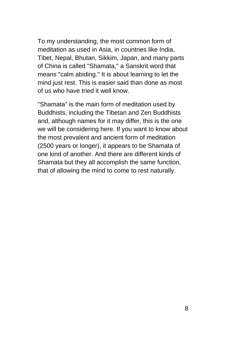To my understanding, the most common form of meditation as used in Asia, in countries like India, Tibet, Nepal, Bhutan, Sikkim, Japan, and many parts of China is called "Shamata," a Sanskrit word that means "calm abiding." It is about learning to let the mind just rest. This is easier said than done as most of us who have tried it well know.

"Shamata" is the main form of meditation used by Buddhists, including the Tibetan and Zen Buddhists and, although names for it may differ, this is the one we will be considering here. If you want to know about the most prevalent and ancient form of meditation (2500 years or longer), it appears to be Shamata of one kind of another. And there are different kinds of Shamata but they all accomplish the same function, that of allowing the mind to come to rest naturally.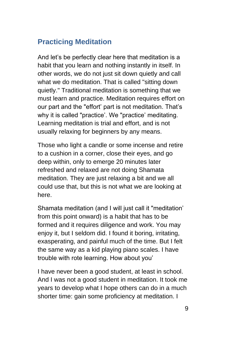## <span id="page-8-0"></span>**Practicing Meditation**

And let's be perfectly clear here that meditation is a habit that you learn and nothing instantly in itself. In other words, we do not just sit down quietly and call what we do meditation. That is called "sitting down quietly." Traditional meditation is something that we must learn and practice. Meditation requires effort on our part and the "effort' part is not meditation. That's why it is called "practice'. We "practice' meditating. Learning meditation is trial and effort, and is not usually relaxing for beginners by any means.

Those who light a candle or some incense and retire to a cushion in a corner, close their eyes, and go deep within, only to emerge 20 minutes later refreshed and relaxed are not doing Shamata meditation. They are just relaxing a bit and we all could use that, but this is not what we are looking at here.

Shamata meditation (and I will just call it "meditation' from this point onward) is a habit that has to be formed and it requires diligence and work. You may enjoy it, but I seldom did. I found it boring, irritating, exasperating, and painful much of the time. But I felt the same way as a kid playing piano scales. I have trouble with rote learning. How about you'

I have never been a good student, at least in school. And I was not a good student in meditation. It took me years to develop what I hope others can do in a much shorter time: gain some proficiency at meditation. I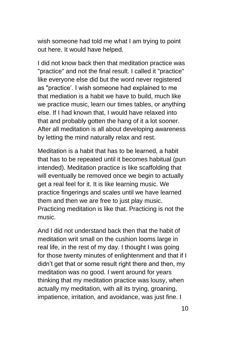wish someone had told me what I am trying to point out here. It would have helped.

I did not know back then that meditation practice was "practice" and not the final result. I called it "practice" like everyone else did but the word never registered as "practice'. I wish someone had explained to me that mediation is a habit we have to build, much like we practice music, learn our times tables, or anything else. If I had known that, I would have relaxed into that and probably gotten the hang of it a lot sooner. After all meditation is all about developing awareness by letting the mind naturally relax and rest.

Meditation is a habit that has to be learned, a habit that has to be repeated until it becomes habitual (pun intended). Meditation practice is like scaffolding that will eventually be removed once we begin to actually get a real feel for it. It is like learning music. We practice fingerings and scales until we have learned them and then we are free to just play music. Practicing meditation is like that. Practicing is not the music.

And I did not understand back then that the habit of meditation writ small on the cushion looms large in real life, in the rest of my day. I thought I was going for those twenty minutes of enlightenment and that if I didn't get that or some result right there and then, my meditation was no good. I went around for years thinking that my meditation practice was lousy, when actually my meditation, with all its trying, groaning, impatience, irritation, and avoidance, was just fine. I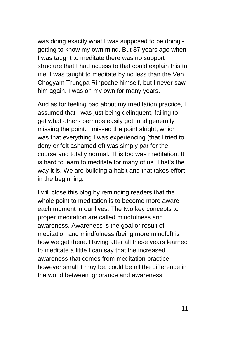was doing exactly what I was supposed to be doing getting to know my own mind. But 37 years ago when I was taught to meditate there was no support structure that I had access to that could explain this to me. I was taught to meditate by no less than the Ven. Chögyam Trungpa Rinpoche himself, but I never saw him again. I was on my own for many years.

And as for feeling bad about my meditation practice, I assumed that I was just being delinquent, failing to get what others perhaps easily got, and generally missing the point. I missed the point alright, which was that everything I was experiencing (that I tried to deny or felt ashamed of) was simply par for the course and totally normal. This too was meditation. It is hard to learn to meditate for many of us. That's the way it is. We are building a habit and that takes effort in the beginning.

I will close this blog by reminding readers that the whole point to meditation is to become more aware each moment in our lives. The two key concepts to proper meditation are called mindfulness and awareness. Awareness is the goal or result of meditation and mindfulness (being more mindful) is how we get there. Having after all these years learned to meditate a little I can say that the increased awareness that comes from meditation practice, however small it may be, could be all the difference in the world between ignorance and awareness.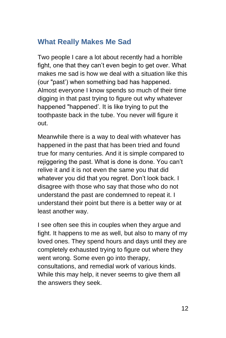#### <span id="page-11-0"></span>**What Really Makes Me Sad**

Two people I care a lot about recently had a horrible fight, one that they can't even begin to get over. What makes me sad is how we deal with a situation like this (our "past') when something bad has happened. Almost everyone I know spends so much of their time digging in that past trying to figure out why whatever happened "happened'. It is like trying to put the toothpaste back in the tube. You never will figure it out.

Meanwhile there is a way to deal with whatever has happened in the past that has been tried and found true for many centuries. And it is simple compared to rejiggering the past. What is done is done. You can't relive it and it is not even the same you that did whatever you did that you regret. Don't look back. I disagree with those who say that those who do not understand the past are condemned to repeat it. I understand their point but there is a better way or at least another way.

I see often see this in couples when they argue and fight. It happens to me as well, but also to many of my loved ones. They spend hours and days until they are completely exhausted trying to figure out where they went wrong. Some even go into therapy, consultations, and remedial work of various kinds. While this may help, it never seems to give them all the answers they seek.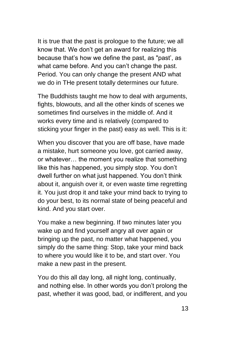It is true that the past is prologue to the future; we all know that. We don't get an award for realizing this because that's how we define the past, as "past', as what came before. And you can't change the past. Period. You can only change the present AND what we do in THe present totally determines our future.

The Buddhists taught me how to deal with arguments, fights, blowouts, and all the other kinds of scenes we sometimes find ourselves in the middle of. And it works every time and is relatively (compared to sticking your finger in the past) easy as well. This is it:

When you discover that you are off base, have made a mistake, hurt someone you love, got carried away, or whatever… the moment you realize that something like this has happened, you simply stop. You don't dwell further on what just happened. You don't think about it, anguish over it, or even waste time regretting it. You just drop it and take your mind back to trying to do your best, to its normal state of being peaceful and kind. And you start over.

You make a new beginning. If two minutes later you wake up and find yourself angry all over again or bringing up the past, no matter what happened, you simply do the same thing: Stop, take your mind back to where you would like it to be, and start over. You make a new past in the present.

You do this all day long, all night long, continually, and nothing else. In other words you don't prolong the past, whether it was good, bad, or indifferent, and you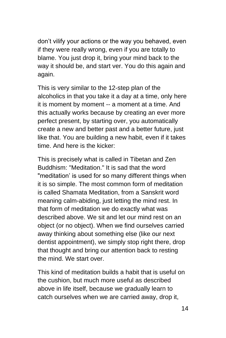don't vilify your actions or the way you behaved, even if they were really wrong, even if you are totally to blame. You just drop it, bring your mind back to the way it should be, and start ver. You do this again and again.

This is very similar to the 12-step plan of the alcoholics in that you take it a day at a time, only here it is moment by moment -- a moment at a time. And this actually works because by creating an ever more perfect present, by starting over, you automatically create a new and better past and a better future, just like that. You are building a new habit, even if it takes time. And here is the kicker:

This is precisely what is called in Tibetan and Zen Buddhism: "Meditation." It is sad that the word "meditation' is used for so many different things when it is so simple. The most common form of meditation is called Shamata Meditation, from a Sanskrit word meaning calm-abiding, just letting the mind rest. In that form of meditation we do exactly what was described above. We sit and let our mind rest on an object (or no object). When we find ourselves carried away thinking about something else (like our next dentist appointment), we simply stop right there, drop that thought and bring our attention back to resting the mind. We start over.

This kind of meditation builds a habit that is useful on the cushion, but much more useful as described above in life itself, because we gradually learn to catch ourselves when we are carried away, drop it,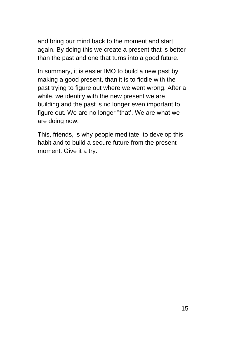and bring our mind back to the moment and start again. By doing this we create a present that is better than the past and one that turns into a good future.

In summary, it is easier IMO to build a new past by making a good present, than it is to fiddle with the past trying to figure out where we went wrong. After a while, we identify with the new present we are building and the past is no longer even important to figure out. We are no longer "that'. We are what we are doing now.

This, friends, is why people meditate, to develop this habit and to build a secure future from the present moment. Give it a try.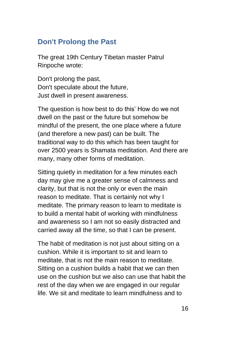#### <span id="page-15-0"></span>**Don't Prolong the Past**

The great 19th Century Tibetan master Patrul Rinpoche wrote:

Don't prolong the past, Don't speculate about the future, Just dwell in present awareness.

The question is how best to do this' How do we not dwell on the past or the future but somehow be mindful of the present, the one place where a future (and therefore a new past) can be built. The traditional way to do this which has been taught for over 2500 years is Shamata meditation. And there are many, many other forms of meditation.

Sitting quietly in meditation for a few minutes each day may give me a greater sense of calmness and clarity, but that is not the only or even the main reason to meditate. That is certainly not why I meditate. The primary reason to learn to meditate is to build a mental habit of working with mindfulness and awareness so I am not so easily distracted and carried away all the time, so that I can be present.

The habit of meditation is not just about sitting on a cushion. While it is important to sit and learn to meditate, that is not the main reason to meditate. Sitting on a cushion builds a habit that we can then use on the cushion but we also can use that habit the rest of the day when we are engaged in our regular life. We sit and meditate to learn mindfulness and to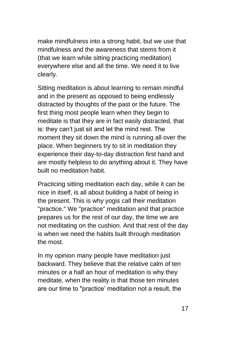make mindfulness into a strong habit, but we use that mindfulness and the awareness that stems from it (that we learn while sitting practicing meditation) everywhere else and all the time. We need it to live clearly.

Sitting meditation is about learning to remain mindful and in the present as opposed to being endlessly distracted by thoughts of the past or the future. The first thing most people learn when they begin to meditate is that they are in fact easily distracted, that is: they can't just sit and let the mind rest. The moment they sit down the mind is running all over the place. When beginners try to sit in meditation they experience their day-to-day distraction first hand and are mostly helpless to do anything about it. They have built no meditation habit.

Practicing sitting meditation each day, while it can be nice in itself, is all about building a habit of being in the present. This is why yogis call their meditation "practice." We "practice" meditation and that practice prepares us for the rest of our day, the time we are not meditating on the cushion. And that rest of the day is when we need the habits built through meditation the most.

In my opinion many people have meditation just backward. They believe that the relative calm of ten minutes or a half an hour of meditation is why they meditate, when the reality is that those ten minutes are our time to "practice' meditation not a result, the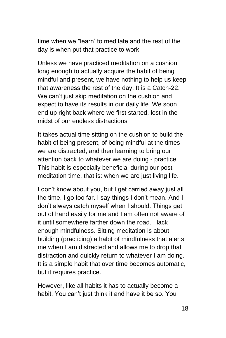time when we "learn' to meditate and the rest of the day is when put that practice to work.

Unless we have practiced meditation on a cushion long enough to actually acquire the habit of being mindful and present, we have nothing to help us keep that awareness the rest of the day. It is a Catch-22. We can't just skip meditation on the cushion and expect to have its results in our daily life. We soon end up right back where we first started, lost in the midst of our endless distractions

It takes actual time sitting on the cushion to build the habit of being present, of being mindful at the times we are distracted, and then learning to bring our attention back to whatever we are doing - practice. This habit is especially beneficial during our postmeditation time, that is: when we are just living life.

I don't know about you, but I get carried away just all the time. I go too far. I say things I don't mean. And I don't always catch myself when I should. Things get out of hand easily for me and I am often not aware of it until somewhere farther down the road. I lack enough mindfulness. Sitting meditation is about building (practicing) a habit of mindfulness that alerts me when I am distracted and allows me to drop that distraction and quickly return to whatever I am doing. It is a simple habit that over time becomes automatic, but it requires practice.

However, like all habits it has to actually become a habit. You can't just think it and have it be so. You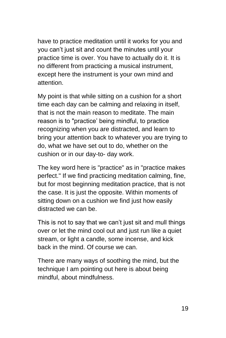have to practice meditation until it works for you and you can't just sit and count the minutes until your practice time is over. You have to actually do it. It is no different from practicing a musical instrument, except here the instrument is your own mind and attention.

My point is that while sitting on a cushion for a short time each day can be calming and relaxing in itself, that is not the main reason to meditate. The main reason is to "practice' being mindful, to practice recognizing when you are distracted, and learn to bring your attention back to whatever you are trying to do, what we have set out to do, whether on the cushion or in our day-to- day work.

The key word here is "practice" as in "practice makes perfect." If we find practicing meditation calming, fine, but for most beginning meditation practice, that is not the case. It is just the opposite. Within moments of sitting down on a cushion we find just how easily distracted we can be.

This is not to say that we can't just sit and mull things over or let the mind cool out and just run like a quiet stream, or light a candle, some incense, and kick back in the mind. Of course we can.

There are many ways of soothing the mind, but the technique I am pointing out here is about being mindful, about mindfulness.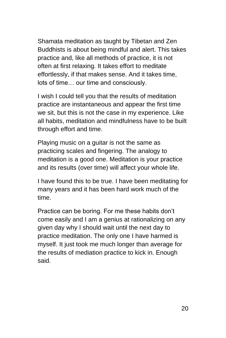Shamata meditation as taught by Tibetan and Zen Buddhists is about being mindful and alert. This takes practice and, like all methods of practice, it is not often at first relaxing. It takes effort to meditate effortlessly, if that makes sense. And it takes time, lots of time… our time and consciously.

I wish I could tell you that the results of meditation practice are instantaneous and appear the first time we sit, but this is not the case in my experience. Like all habits, meditation and mindfulness have to be built through effort and time.

Playing music on a guitar is not the same as practicing scales and fingering. The analogy to meditation is a good one. Meditation is your practice and its results (over time) will affect your whole life.

I have found this to be true. I have been meditating for many years and it has been hard work much of the time.

Practice can be boring. For me these habits don't come easily and I am a genius at rationalizing on any given day why I should wait until the next day to practice meditation. The only one I have harmed is myself. It just took me much longer than average for the results of mediation practice to kick in. Enough said.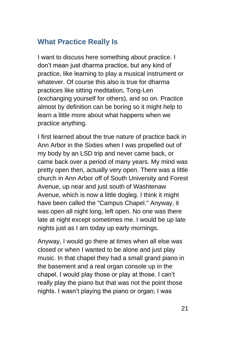### <span id="page-20-0"></span>**What Practice Really Is**

I want to discuss here something about practice. I don't mean just dharma practice, but any kind of practice, like learning to play a musical instrument or whatever. Of course this also is true for dharma practices like sitting meditation, Tong-Len (exchanging yourself for others), and so on. Practice almost by definition can be boring so it might help to learn a little more about what happens when we practice anything.

I first learned about the true nature of practice back in Ann Arbor in the Sixties when I was propelled out of my body by an LSD trip and never came back, or came back over a period of many years. My mind was pretty open then, actually very open. There was a little church in Ann Arbor off of South University and Forest Avenue, up near and just south of Washtenaw Avenue, which is now a little dogleg. I think it might have been called the "Campus Chapel." Anyway, it was open all night long, left open. No one was there late at night except sometimes me. I would be up late nights just as I am today up early mornings.

Anyway, I would go there at times when all else was closed or when I wanted to be alone and just play music. In that chapel they had a small grand piano in the basement and a real organ console up in the chapel. I would play those or play at those. I can't really play the piano but that was not the point those nights. I wasn't playing the piano or organ; I was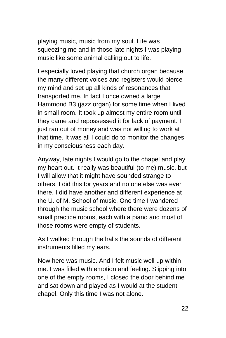playing music, music from my soul. Life was squeezing me and in those late nights I was playing music like some animal calling out to life.

I especially loved playing that church organ because the many different voices and registers would pierce my mind and set up all kinds of resonances that transported me. In fact I once owned a large Hammond B3 (jazz organ) for some time when I lived in small room. It took up almost my entire room until they came and repossessed it for lack of payment. I just ran out of money and was not willing to work at that time. It was all I could do to monitor the changes in my consciousness each day.

Anyway, late nights I would go to the chapel and play my heart out. It really was beautiful (to me) music, but I will allow that it might have sounded strange to others. I did this for years and no one else was ever there. I did have another and different experience at the U. of M. School of music. One time I wandered through the music school where there were dozens of small practice rooms, each with a piano and most of those rooms were empty of students.

As I walked through the halls the sounds of different instruments filled my ears.

Now here was music. And I felt music well up within me. I was filled with emotion and feeling. Slipping into one of the empty rooms, I closed the door behind me and sat down and played as I would at the student chapel. Only this time I was not alone.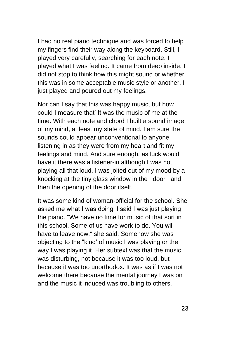I had no real piano technique and was forced to help my fingers find their way along the keyboard. Still, I played very carefully, searching for each note. I played what I was feeling. It came from deep inside. I did not stop to think how this might sound or whether this was in some acceptable music style or another. I just played and poured out my feelings.

Nor can I say that this was happy music, but how could I measure that' It was the music of me at the time. With each note and chord I built a sound image of my mind, at least my state of mind. I am sure the sounds could appear unconventional to anyone listening in as they were from my heart and fit my feelings and mind. And sure enough, as luck would have it there was a listener-in although I was not playing all that loud. I was jolted out of my mood by a knocking at the tiny glass window in the door and then the opening of the door itself.

It was some kind of woman-official for the school. She asked me what I was doing' I said I was just playing the piano. "We have no time for music of that sort in this school. Some of us have work to do. You will have to leave now," she said. Somehow she was objecting to the "kind' of music I was playing or the way I was playing it. Her subtext was that the music was disturbing, not because it was too loud, but because it was too unorthodox. It was as if I was not welcome there because the mental journey I was on and the music it induced was troubling to others.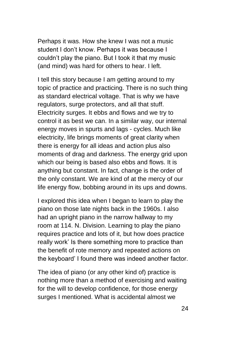Perhaps it was. How she knew I was not a music student I don't know. Perhaps it was because I couldn't play the piano. But I took it that my music (and mind) was hard for others to hear. I left.

I tell this story because I am getting around to my topic of practice and practicing. There is no such thing as standard electrical voltage. That is why we have regulators, surge protectors, and all that stuff. Electricity surges. It ebbs and flows and we try to control it as best we can. In a similar way, our internal energy moves in spurts and lags - cycles. Much like electricity, life brings moments of great clarity when there is energy for all ideas and action plus also moments of drag and darkness. The energy grid upon which our being is based also ebbs and flows. It is anything but constant. In fact, change is the order of the only constant. We are kind of at the mercy of our life energy flow, bobbing around in its ups and downs.

I explored this idea when I began to learn to play the piano on those late nights back in the 1960s. I also had an upright piano in the narrow hallway to my room at 114. N. Division. Learning to play the piano requires practice and lots of it, but how does practice really work' Is there something more to practice than the benefit of rote memory and repeated actions on the keyboard' I found there was indeed another factor.

The idea of piano (or any other kind of) practice is nothing more than a method of exercising and waiting for the will to develop confidence, for those energy surges I mentioned. What is accidental almost we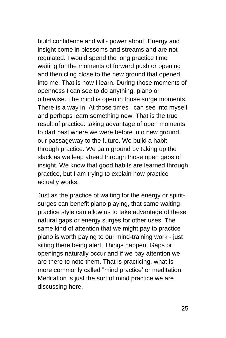build confidence and will- power about. Energy and insight come in blossoms and streams and are not regulated. I would spend the long practice time waiting for the moments of forward push or opening and then cling close to the new ground that opened into me. That is how I learn. During those moments of openness I can see to do anything, piano or otherwise. The mind is open in those surge moments. There is a way in. At those times I can see into myself and perhaps learn something new. That is the true result of practice: taking advantage of open moments to dart past where we were before into new ground, our passageway to the future. We build a habit through practice. We gain ground by taking up the slack as we leap ahead through those open gaps of insight. We know that good habits are learned through practice, but I am trying to explain how practice actually works.

Just as the practice of waiting for the energy or spiritsurges can benefit piano playing, that same waitingpractice style can allow us to take advantage of these natural gaps or energy surges for other uses. The same kind of attention that we might pay to practice piano is worth paying to our mind-training work - just sitting there being alert. Things happen. Gaps or openings naturally occur and if we pay attention we are there to note them. That is practicing, what is more commonly called "mind practice' or meditation. Meditation is just the sort of mind practice we are discussing here.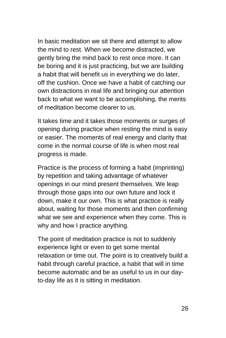In basic meditation we sit there and attempt to allow the mind to rest. When we become distracted, we gently bring the mind back to rest once more. It can be boring and it is just practicing, but we are building a habit that will benefit us in everything we do later, off the cushion. Once we have a habit of catching our own distractions in real life and bringing our attention back to what we want to be accomplishing, the merits of meditation become clearer to us.

It takes time and it takes those moments or surges of opening during practice when resting the mind is easy or easier. The moments of real energy and clarity that come in the normal course of life is when most real progress is made.

Practice is the process of forming a habit (imprinting) by repetition and taking advantage of whatever openings in our mind present themselves. We leap through those gaps into our own future and lock it down, make it our own. This is what practice is really about, waiting for those moments and then confirming what we see and experience when they come. This is why and how I practice anything.

The point of meditation practice is not to suddenly experience light or even to get some mental relaxation or time out. The point is to creatively build a habit through careful practice, a habit that will in time become automatic and be as useful to us in our dayto-day life as it is sitting in meditation.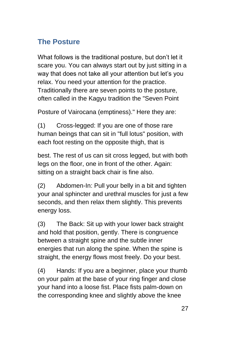## <span id="page-26-0"></span>**The Posture**

What follows is the traditional posture, but don't let it scare you. You can always start out by just sitting in a way that does not take all your attention but let's you relax. You need your attention for the practice. Traditionally there are seven points to the posture, often called in the Kagyu tradition the "Seven Point

Posture of Vairocana (emptiness)." Here they are:

(1) Cross-legged: If you are one of those rare human beings that can sit in "full lotus" position, with each foot resting on the opposite thigh, that is

best. The rest of us can sit cross legged, but with both legs on the floor, one in front of the other. Again: sitting on a straight back chair is fine also.

(2) Abdomen-In: Pull your belly in a bit and tighten your anal sphincter and urethral muscles for just a few seconds, and then relax them slightly. This prevents energy loss.

(3) The Back: Sit up with your lower back straight and hold that position, gently. There is congruence between a straight spine and the subtle inner energies that run along the spine. When the spine is straight, the energy flows most freely. Do your best.

(4) Hands: If you are a beginner, place your thumb on your palm at the base of your ring finger and close your hand into a loose fist. Place fists palm-down on the corresponding knee and slightly above the knee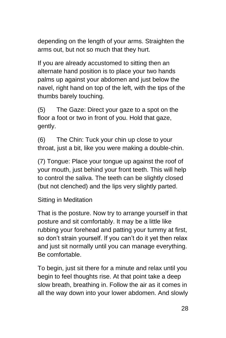depending on the length of your arms. Straighten the arms out, but not so much that they hurt.

If you are already accustomed to sitting then an alternate hand position is to place your two hands palms up against your abdomen and just below the navel, right hand on top of the left, with the tips of the thumbs barely touching.

(5) The Gaze: Direct your gaze to a spot on the floor a foot or two in front of you. Hold that gaze, gently.

(6) The Chin: Tuck your chin up close to your throat, just a bit, like you were making a double-chin.

(7) Tongue: Place your tongue up against the roof of your mouth, just behind your front teeth. This will help to control the saliva. The teeth can be slightly closed (but not clenched) and the lips very slightly parted.

Sitting in Meditation

That is the posture. Now try to arrange yourself in that posture and sit comfortably. It may be a little like rubbing your forehead and patting your tummy at first, so don't strain yourself. If you can't do it yet then relax and just sit normally until you can manage everything. Be comfortable.

To begin, just sit there for a minute and relax until you begin to feel thoughts rise. At that point take a deep slow breath, breathing in. Follow the air as it comes in all the way down into your lower abdomen. And slowly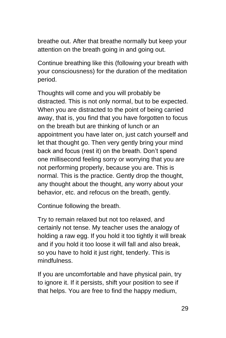breathe out. After that breathe normally but keep your attention on the breath going in and going out.

Continue breathing like this (following your breath with your consciousness) for the duration of the meditation period.

Thoughts will come and you will probably be distracted. This is not only normal, but to be expected. When you are distracted to the point of being carried away, that is, you find that you have forgotten to focus on the breath but are thinking of lunch or an appointment you have later on, just catch yourself and let that thought go. Then very gently bring your mind back and focus (rest it) on the breath. Don't spend one millisecond feeling sorry or worrying that you are not performing properly, because you are. This is normal. This is the practice. Gently drop the thought, any thought about the thought, any worry about your behavior, etc. and refocus on the breath, gently.

Continue following the breath.

Try to remain relaxed but not too relaxed, and certainly not tense. My teacher uses the analogy of holding a raw egg. If you hold it too tightly it will break and if you hold it too loose it will fall and also break, so you have to hold it just right, tenderly. This is mindfulness.

If you are uncomfortable and have physical pain, try to ignore it. If it persists, shift your position to see if that helps. You are free to find the happy medium,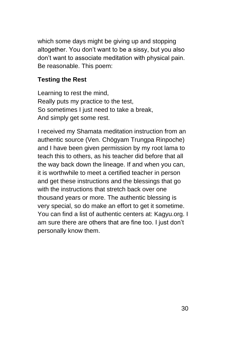which some days might be giving up and stopping altogether. You don't want to be a sissy, but you also don't want to associate meditation with physical pain. Be reasonable. This poem:

#### **Testing the Rest**

Learning to rest the mind, Really puts my practice to the test, So sometimes I just need to take a break, And simply get some rest.

I received my Shamata meditation instruction from an authentic source (Ven. Chögyam Trungpa Rinpoche) and I have been given permission by my root lama to teach this to others, as his teacher did before that all the way back down the lineage. If and when you can, it is worthwhile to meet a certified teacher in person and get these instructions and the blessings that go with the instructions that stretch back over one thousand years or more. The authentic blessing is very special, so do make an effort to get it sometime. You can find a list of authentic centers at: Kagyu.org. I am sure there are others that are fine too. I just don't personally know them.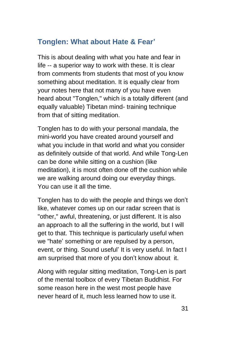## <span id="page-30-0"></span>**Tonglen: What about Hate & Fear'**

This is about dealing with what you hate and fear in life -- a superior way to work with these. It is clear from comments from students that most of you know something about meditation. It is equally clear from your notes here that not many of you have even heard about "Tonglen," which is a totally different (and equally valuable) Tibetan mind- training technique from that of sitting meditation.

Tonglen has to do with your personal mandala, the mini-world you have created around yourself and what you include in that world and what you consider as definitely outside of that world. And while Tong-Len can be done while sitting on a cushion (like meditation), it is most often done off the cushion while we are walking around doing our everyday things. You can use it all the time.

Tonglen has to do with the people and things we don't like, whatever comes up on our radar screen that is "other," awful, threatening, or just different. It is also an approach to all the suffering in the world, but I will get to that. This technique is particularly useful when we "hate' something or are repulsed by a person, event, or thing. Sound useful' It is very useful. In fact I am surprised that more of you don't know about it.

Along with regular sitting meditation, Tong-Len is part of the mental toolbox of every Tibetan Buddhist. For some reason here in the west most people have never heard of it, much less learned how to use it.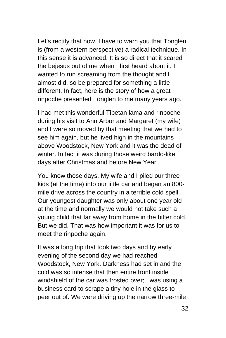Let's rectify that now. I have to warn you that Tonglen is (from a western perspective) a radical technique. In this sense it is advanced. It is so direct that it scared the bejesus out of me when I first heard about it. I wanted to run screaming from the thought and I almost did, so be prepared for something a little different. In fact, here is the story of how a great rinpoche presented Tonglen to me many years ago.

I had met this wonderful Tibetan lama and rinpoche during his visit to Ann Arbor and Margaret (my wife) and I were so moved by that meeting that we had to see him again, but he lived high in the mountains above Woodstock, New York and it was the dead of winter. In fact it was during those weird bardo-like days after Christmas and before New Year.

You know those days. My wife and I piled our three kids (at the time) into our little car and began an 800 mile drive across the country in a terrible cold spell. Our youngest daughter was only about one year old at the time and normally we would not take such a young child that far away from home in the bitter cold. But we did. That was how important it was for us to meet the rinpoche again.

It was a long trip that took two days and by early evening of the second day we had reached Woodstock, New York. Darkness had set in and the cold was so intense that then entire front inside windshield of the car was frosted over; I was using a business card to scrape a tiny hole in the glass to peer out of. We were driving up the narrow three-mile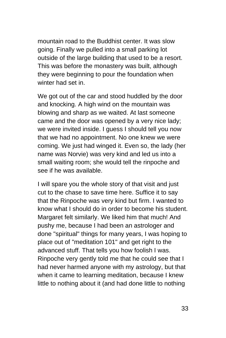mountain road to the Buddhist center. It was slow going. Finally we pulled into a small parking lot outside of the large building that used to be a resort. This was before the monastery was built, although they were beginning to pour the foundation when winter had set in.

We got out of the car and stood huddled by the door and knocking. A high wind on the mountain was blowing and sharp as we waited. At last someone came and the door was opened by a very nice lady; we were invited inside. I guess I should tell you now that we had no appointment. No one knew we were coming. We just had winged it. Even so, the lady (her name was Norvie) was very kind and led us into a small waiting room; she would tell the rinpoche and see if he was available.

I will spare you the whole story of that visit and just cut to the chase to save time here. Suffice it to say that the Rinpoche was very kind but firm. I wanted to know what I should do in order to become his student. Margaret felt similarly. We liked him that much! And pushy me, because I had been an astrologer and done "spiritual" things for many years, I was hoping to place out of "meditation 101" and get right to the advanced stuff. That tells you how foolish I was. Rinpoche very gently told me that he could see that I had never harmed anyone with my astrology, but that when it came to learning meditation, because I knew little to nothing about it (and had done little to nothing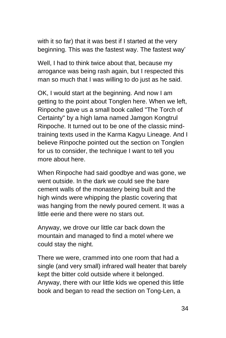with it so far) that it was best if I started at the very beginning. This was the fastest way. The fastest way'

Well, I had to think twice about that, because my arrogance was being rash again, but I respected this man so much that I was willing to do just as he said.

OK, I would start at the beginning. And now I am getting to the point about Tonglen here. When we left, Rinpoche gave us a small book called "The Torch of Certainty" by a high lama named Jamgon Kongtrul Rinpoche. It turned out to be one of the classic mindtraining texts used in the Karma Kagyu Lineage. And I believe Rinpoche pointed out the section on Tonglen for us to consider, the technique I want to tell you more about here.

When Rinpoche had said goodbye and was gone, we went outside. In the dark we could see the bare cement walls of the monastery being built and the high winds were whipping the plastic covering that was hanging from the newly poured cement. It was a little eerie and there were no stars out.

Anyway, we drove our little car back down the mountain and managed to find a motel where we could stay the night.

There we were, crammed into one room that had a single (and very small) infrared wall heater that barely kept the bitter cold outside where it belonged. Anyway, there with our little kids we opened this little book and began to read the section on Tong-Len, a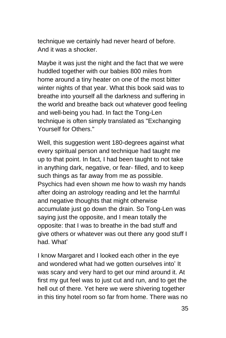technique we certainly had never heard of before. And it was a shocker.

Maybe it was just the night and the fact that we were huddled together with our babies 800 miles from home around a tiny heater on one of the most bitter winter nights of that year. What this book said was to breathe into yourself all the darkness and suffering in the world and breathe back out whatever good feeling and well-being you had. In fact the Tong-Len technique is often simply translated as "Exchanging Yourself for Others."

Well, this suggestion went 180-degrees against what every spiritual person and technique had taught me up to that point. In fact, I had been taught to not take in anything dark, negative, or fear- filled, and to keep such things as far away from me as possible. Psychics had even shown me how to wash my hands after doing an astrology reading and let the harmful and negative thoughts that might otherwise accumulate just go down the drain. So Tong-Len was saying just the opposite, and I mean totally the opposite: that I was to breathe in the bad stuff and give others or whatever was out there any good stuff I had. What'

I know Margaret and I looked each other in the eye and wondered what had we gotten ourselves into' It was scary and very hard to get our mind around it. At first my gut feel was to just cut and run, and to get the hell out of there. Yet here we were shivering together in this tiny hotel room so far from home. There was no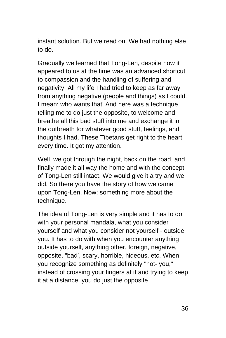instant solution. But we read on. We had nothing else to do.

Gradually we learned that Tong-Len, despite how it appeared to us at the time was an advanced shortcut to compassion and the handling of suffering and negativity. All my life I had tried to keep as far away from anything negative (people and things) as I could. I mean: who wants that' And here was a technique telling me to do just the opposite, to welcome and breathe all this bad stuff into me and exchange it in the outbreath for whatever good stuff, feelings, and thoughts I had. These Tibetans get right to the heart every time. It got my attention.

Well, we got through the night, back on the road, and finally made it all way the home and with the concept of Tong-Len still intact. We would give it a try and we did. So there you have the story of how we came upon Tong-Len. Now: something more about the technique.

The idea of Tong-Len is very simple and it has to do with your personal mandala, what you consider yourself and what you consider not yourself - outside you. It has to do with when you encounter anything outside yourself, anything other, foreign, negative, opposite, "bad', scary, horrible, hideous, etc. When you recognize something as definitely "not- you," instead of crossing your fingers at it and trying to keep it at a distance, you do just the opposite.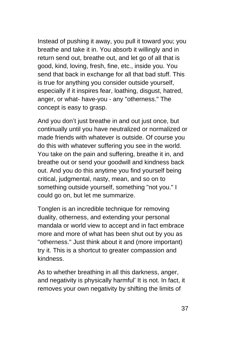Instead of pushing it away, you pull it toward you; you breathe and take it in. You absorb it willingly and in return send out, breathe out, and let go of all that is good, kind, loving, fresh, fine, etc., inside you. You send that back in exchange for all that bad stuff. This is true for anything you consider outside yourself, especially if it inspires fear, loathing, disgust, hatred, anger, or what- have-you - any "otherness." The concept is easy to grasp.

And you don't just breathe in and out just once, but continually until you have neutralized or normalized or made friends with whatever is outside. Of course you do this with whatever suffering you see in the world. You take on the pain and suffering, breathe it in, and breathe out or send your goodwill and kindness back out. And you do this anytime you find yourself being critical, judgmental, nasty, mean, and so on to something outside yourself, something "not you." I could go on, but let me summarize.

Tonglen is an incredible technique for removing duality, otherness, and extending your personal mandala or world view to accept and in fact embrace more and more of what has been shut out by you as "otherness." Just think about it and (more important) try it. This is a shortcut to greater compassion and kindness.

As to whether breathing in all this darkness, anger, and negativity is physically harmful' It is not. In fact, it removes your own negativity by shifting the limits of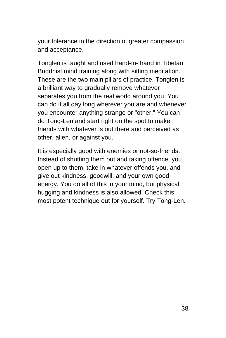your tolerance in the direction of greater compassion and acceptance.

Tonglen is taught and used hand-in- hand in Tibetan Buddhist mind training along with sitting meditation. These are the two main pillars of practice. Tonglen is a brilliant way to gradually remove whatever separates you from the real world around you. You can do it all day long wherever you are and whenever you encounter anything strange or "other." You can do Tong-Len and start right on the spot to make friends with whatever is out there and perceived as other, alien, or against you.

It is especially good with enemies or not-so-friends. Instead of shutting them out and taking offence, you open up to them, take in whatever offends you, and give out kindness, goodwill, and your own good energy. You do all of this in your mind, but physical hugging and kindness is also allowed. Check this most potent technique out for yourself. Try Tong-Len.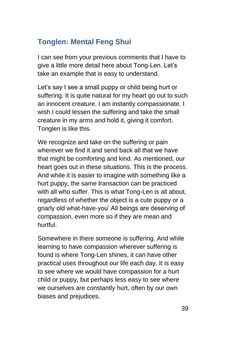# **Tonglen: Mental Feng Shui**

I can see from your previous comments that I have to give a little more detail here about Tong-Len. Let's take an example that is easy to understand.

Let's say I see a small puppy or child being hurt or suffering. It is quite natural for my heart go out to such an innocent creature. I am instantly compassionate. I wish I could lessen the suffering and take the small creature in my arms and hold it, giving it comfort. Tonglen is like this.

We recognize and take on the suffering or pain wherever we find it and send back all that we have that might be comforting and kind. As mentioned, our heart goes out in these situations. This is the process. And while it is easier to imagine with something like a hurt puppy, the same transaction can be practiced with all who suffer. This is what Tong-Len is all about, regardless of whether the object is a cute puppy or a gnarly old what-have-you' All beings are deserving of compassion, even more so if they are mean and hurtful.

Somewhere in there someone is suffering. And while learning to have compassion wherever suffering is found is where Tong-Len shines, it can have other practical uses throughout our life each day. It is easy to see where we would have compassion for a hurt child or puppy, but perhaps less easy to see where we ourselves are constantly hurt, often by our own biases and prejudices.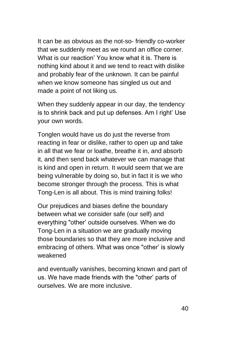It can be as obvious as the not-so- friendly co-worker that we suddenly meet as we round an office corner. What is our reaction' You know what it is. There is nothing kind about it and we tend to react with dislike and probably fear of the unknown. It can be painful when we know someone has singled us out and made a point of not liking us.

When they suddenly appear in our day, the tendency is to shrink back and put up defenses. Am I right' Use your own words.

Tonglen would have us do just the reverse from reacting in fear or dislike, rather to open up and take in all that we fear or loathe, breathe it in, and absorb it, and then send back whatever we can manage that is kind and open in return. It would seem that we are being vulnerable by doing so, but in fact it is we who become stronger through the process. This is what Tong-Len is all about. This is mind training folks!

Our prejudices and biases define the boundary between what we consider safe (our self) and everything "other' outside ourselves. When we do Tong-Len in a situation we are gradually moving those boundaries so that they are more inclusive and embracing of others. What was once "other' is slowly weakened

and eventually vanishes, becoming known and part of us. We have made friends with the "other' parts of ourselves. We are more inclusive.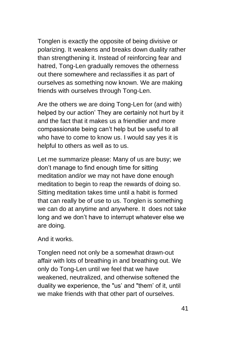Tonglen is exactly the opposite of being divisive or polarizing. It weakens and breaks down duality rather than strengthening it. Instead of reinforcing fear and hatred, Tong-Len gradually removes the otherness out there somewhere and reclassifies it as part of ourselves as something now known. We are making friends with ourselves through Tong-Len.

Are the others we are doing Tong-Len for (and with) helped by our action' They are certainly not hurt by it and the fact that it makes us a friendlier and more compassionate being can't help but be useful to all who have to come to know us. I would say yes it is helpful to others as well as to us.

Let me summarize please: Many of us are busy; we don't manage to find enough time for sitting meditation and/or we may not have done enough meditation to begin to reap the rewards of doing so. Sitting meditation takes time until a habit is formed that can really be of use to us. Tonglen is something we can do at anytime and anywhere. It does not take long and we don't have to interrupt whatever else we are doing.

And it works.

Tonglen need not only be a somewhat drawn-out affair with lots of breathing in and breathing out. We only do Tong-Len until we feel that we have weakened, neutralized, and otherwise softened the duality we experience, the "us' and "them' of it, until we make friends with that other part of ourselves.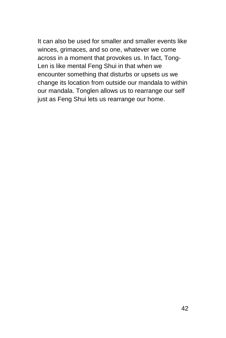It can also be used for smaller and smaller events like winces, grimaces, and so one, whatever we come across in a moment that provokes us. In fact, Tong-Len is like mental Feng Shui in that when we encounter something that disturbs or upsets us we change its location from outside our mandala to within our mandala. Tonglen allows us to rearrange our self just as Feng Shui lets us rearrange our home.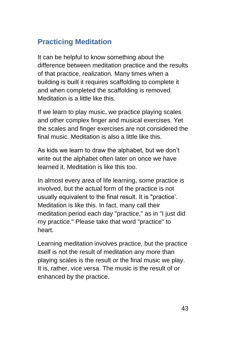# **Practicing Meditation**

It can be helpful to know something about the difference between meditation practice and the results of that practice, realization. Many times when a building is built it requires scaffolding to complete it and when completed the scaffolding is removed. Meditation is a little like this.

If we learn to play music, we practice playing scales and other complex finger and musical exercises. Yet the scales and finger exercises are not considered the final music. Meditation is also a little like this.

As kids we learn to draw the alphabet, but we don't write out the alphabet often later on once we have learned it. Meditation is like this too.

In almost every area of life learning, some practice is involved, but the actual form of the practice is not usually equivalent to the final result. It is "practice'. Meditation is like this. In fact, many call their meditation period each day "practice," as in "I just did my practice." Please take that word "practice" to heart.

Learning meditation involves practice, but the practice itself is not the result of meditation any more than playing scales is the result or the final music we play. It is, rather, vice versa. The music is the result of or enhanced by the practice.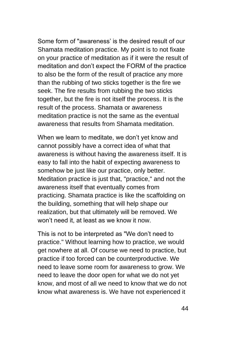Some form of "awareness' is the desired result of our Shamata meditation practice. My point is to not fixate on your practice of meditation as if it were the result of meditation and don't expect the FORM of the practice to also be the form of the result of practice any more than the rubbing of two sticks together is the fire we seek. The fire results from rubbing the two sticks together, but the fire is not itself the process. It is the result of the process. Shamata or awareness meditation practice is not the same as the eventual awareness that results from Shamata meditation.

When we learn to meditate, we don't yet know and cannot possibly have a correct idea of what that awareness is without having the awareness itself. It is easy to fall into the habit of expecting awareness to somehow be just like our practice, only better. Meditation practice is just that, "practice," and not the awareness itself that eventually comes from practicing. Shamata practice is like the scaffolding on the building, something that will help shape our realization, but that ultimately will be removed. We won't need it, at least as we know it now.

This is not to be interpreted as "We don't need to practice." Without learning how to practice, we would get nowhere at all. Of course we need to practice, but practice if too forced can be counterproductive. We need to leave some room for awareness to grow. We need to leave the door open for what we do not yet know, and most of all we need to know that we do not know what awareness is. We have not experienced it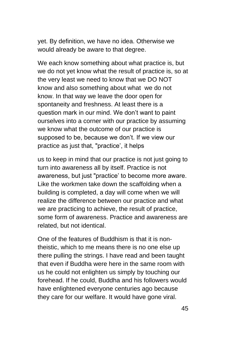yet. By definition, we have no idea. Otherwise we would already be aware to that degree.

We each know something about what practice is, but we do not yet know what the result of practice is, so at the very least we need to know that we DO NOT know and also something about what we do not know. In that way we leave the door open for spontaneity and freshness. At least there is a question mark in our mind. We don't want to paint ourselves into a corner with our practice by assuming we know what the outcome of our practice is supposed to be, because we don't. If we view our practice as just that, "practice', it helps

us to keep in mind that our practice is not just going to turn into awareness all by itself. Practice is not awareness, but just "practice' to become more aware. Like the workmen take down the scaffolding when a building is completed, a day will come when we will realize the difference between our practice and what we are practicing to achieve, the result of practice, some form of awareness. Practice and awareness are related, but not identical.

One of the features of Buddhism is that it is nontheistic, which to me means there is no one else up there pulling the strings. I have read and been taught that even if Buddha were here in the same room with us he could not enlighten us simply by touching our forehead. If he could, Buddha and his followers would have enlightened everyone centuries ago because they care for our welfare. It would have gone viral.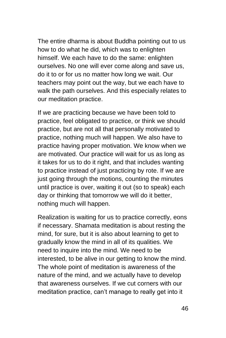The entire dharma is about Buddha pointing out to us how to do what he did, which was to enlighten himself. We each have to do the same: enlighten ourselves. No one will ever come along and save us, do it to or for us no matter how long we wait. Our teachers may point out the way, but we each have to walk the path ourselves. And this especially relates to our meditation practice.

If we are practicing because we have been told to practice, feel obligated to practice, or think we should practice, but are not all that personally motivated to practice, nothing much will happen. We also have to practice having proper motivation. We know when we are motivated. Our practice will wait for us as long as it takes for us to do it right, and that includes wanting to practice instead of just practicing by rote. If we are just going through the motions, counting the minutes until practice is over, waiting it out (so to speak) each day or thinking that tomorrow we will do it better, nothing much will happen.

Realization is waiting for us to practice correctly, eons if necessary. Shamata meditation is about resting the mind, for sure, but it is also about learning to get to gradually know the mind in all of its qualities. We need to inquire into the mind. We need to be interested, to be alive in our getting to know the mind. The whole point of meditation is awareness of the nature of the mind, and we actually have to develop that awareness ourselves. If we cut corners with our meditation practice, can't manage to really get into it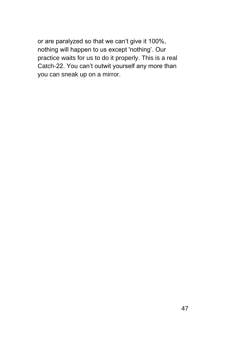or are paralyzed so that we can't give it 100%, nothing will happen to us except 'nothing'. Our practice waits for us to do it properly. This is a real Catch-22. You can't outwit yourself any more than you can sneak up on a mirror.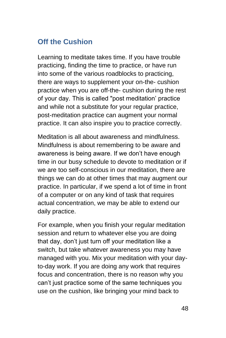## **Off the Cushion**

Learning to meditate takes time. If you have trouble practicing, finding the time to practice, or have run into some of the various roadblocks to practicing, there are ways to supplement your on-the- cushion practice when you are off-the- cushion during the rest of your day. This is called "post meditation' practice and while not a substitute for your regular practice, post-meditation practice can augment your normal practice. It can also inspire you to practice correctly.

Meditation is all about awareness and mindfulness. Mindfulness is about remembering to be aware and awareness is being aware. If we don't have enough time in our busy schedule to devote to meditation or if we are too self-conscious in our meditation, there are things we can do at other times that may augment our practice. In particular, if we spend a lot of time in front of a computer or on any kind of task that requires actual concentration, we may be able to extend our daily practice.

For example, when you finish your regular meditation session and return to whatever else you are doing that day, don't just turn off your meditation like a switch, but take whatever awareness you may have managed with you. Mix your meditation with your dayto-day work. If you are doing any work that requires focus and concentration, there is no reason why you can't just practice some of the same techniques you use on the cushion, like bringing your mind back to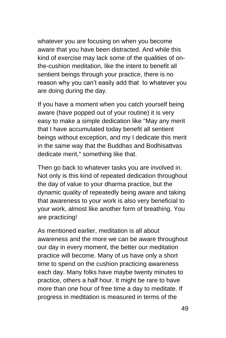whatever you are focusing on when you become aware that you have been distracted. And while this kind of exercise may lack some of the qualities of onthe-cushion meditation, like the intent to benefit all sentient beings through your practice, there is no reason why you can't easily add that to whatever you are doing during the day.

If you have a moment when you catch yourself being aware (have popped out of your routine) it is very easy to make a simple dedication like "May any merit that I have accumulated today benefit all sentient beings without exception, and my I dedicate this merit in the same way that the Buddhas and Bodhisattvas dedicate merit," something like that.

Then go back to whatever tasks you are involved in. Not only is this kind of repeated dedication throughout the day of value to your dharma practice, but the dynamic quality of repeatedly being aware and taking that awareness to your work is also very beneficial to your work, almost like another form of breathing. You are practicing!

As mentioned earlier, meditation is all about awareness and the more we can be aware throughout our day in every moment, the better our meditation practice will become. Many of us have only a short time to spend on the cushion practicing awareness each day. Many folks have maybe twenty minutes to practice, others a half hour. It might be rare to have more than one hour of free time a day to meditate. If progress in meditation is measured in terms of the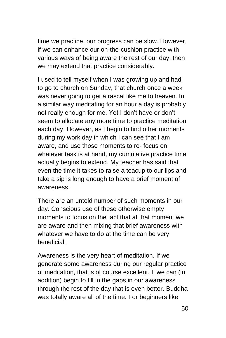time we practice, our progress can be slow. However, if we can enhance our on-the-cushion practice with various ways of being aware the rest of our day, then we may extend that practice considerably.

I used to tell myself when I was growing up and had to go to church on Sunday, that church once a week was never going to get a rascal like me to heaven. In a similar way meditating for an hour a day is probably not really enough for me. Yet I don't have or don't seem to allocate any more time to practice meditation each day. However, as I begin to find other moments during my work day in which I can see that I am aware, and use those moments to re- focus on whatever task is at hand, my cumulative practice time actually begins to extend. My teacher has said that even the time it takes to raise a teacup to our lips and take a sip is long enough to have a brief moment of awareness.

There are an untold number of such moments in our day. Conscious use of these otherwise empty moments to focus on the fact that at that moment we are aware and then mixing that brief awareness with whatever we have to do at the time can be very beneficial.

Awareness is the very heart of meditation. If we generate some awareness during our regular practice of meditation, that is of course excellent. If we can (in addition) begin to fill in the gaps in our awareness through the rest of the day that is even better. Buddha was totally aware all of the time. For beginners like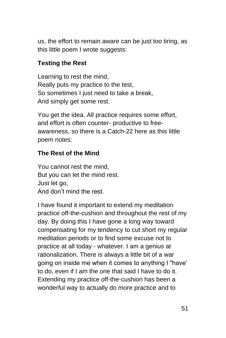us, the effort to remain aware can be just too tiring, as this little poem I wrote suggests:

#### **Testing the Rest**

Learning to rest the mind, Really puts my practice to the test, So sometimes I just need to take a break, And simply get some rest.

You get the idea. All practice requires some effort, and effort is often counter- productive to freeawareness, so there is a Catch-22 here as this little poem notes:

#### **The Rest of the Mind**

You cannot rest the mind, But you can let the mind rest. Just let go, And don't mind the rest.

I have found it important to extend my meditation practice off-the-cushion and throughout the rest of my day. By doing this I have gone a long way toward compensating for my tendency to cut short my regular meditation periods or to find some excuse not to practice at all today - whatever. I am a genius at rationalization. There is always a little bit of a war going on inside me when it comes to anything I "have' to do, even if I am the one that said I have to do it. Extending my practice off-the-cushion has been a wonderful way to actually do more practice and to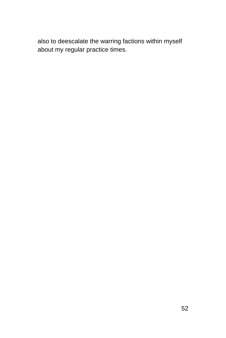also to deescalate the warring factions within myself about my regular practice times.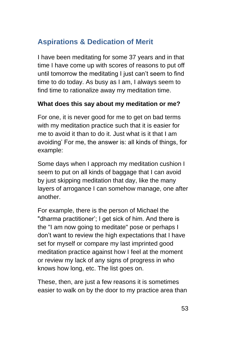# **Aspirations & Dedication of Merit**

I have been meditating for some 37 years and in that time I have come up with scores of reasons to put off until tomorrow the meditating I just can't seem to find time to do today. As busy as I am, I always seem to find time to rationalize away my meditation time.

#### **What does this say about my meditation or me?**

For one, it is never good for me to get on bad terms with my meditation practice such that it is easier for me to avoid it than to do it. Just what is it that I am avoiding' For me, the answer is: all kinds of things, for example:

Some days when I approach my meditation cushion I seem to put on all kinds of baggage that I can avoid by just skipping meditation that day, like the many layers of arrogance I can somehow manage, one after another.

For example, there is the person of Michael the "dharma practitioner'; I get sick of him. And there is the "I am now going to meditate" pose or perhaps I don't want to review the high expectations that I have set for myself or compare my last imprinted good meditation practice against how I feel at the moment or review my lack of any signs of progress in who knows how long, etc. The list goes on.

These, then, are just a few reasons it is sometimes easier to walk on by the door to my practice area than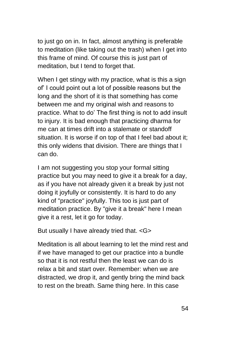to just go on in. In fact, almost anything is preferable to meditation (like taking out the trash) when I get into this frame of mind. Of course this is just part of meditation, but I tend to forget that.

When I get stingy with my practice, what is this a sign of' I could point out a lot of possible reasons but the long and the short of it is that something has come between me and my original wish and reasons to practice. What to do' The first thing is not to add insult to injury. It is bad enough that practicing dharma for me can at times drift into a stalemate or standoff situation. It is worse if on top of that I feel bad about it; this only widens that division. There are things that I can do.

I am not suggesting you stop your formal sitting practice but you may need to give it a break for a day, as if you have not already given it a break by just not doing it joyfully or consistently. It is hard to do any kind of "practice" joyfully. This too is just part of meditation practice. By "give it a break" here I mean give it a rest, let it go for today.

But usually I have already tried that. < G>

Meditation is all about learning to let the mind rest and if we have managed to get our practice into a bundle so that it is not restful then the least we can do is relax a bit and start over. Remember: when we are distracted, we drop it, and gently bring the mind back to rest on the breath. Same thing here. In this case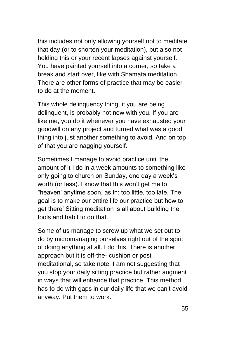this includes not only allowing yourself not to meditate that day (or to shorten your meditation), but also not holding this or your recent lapses against yourself. You have painted yourself into a corner, so take a break and start over, like with Shamata meditation. There are other forms of practice that may be easier to do at the moment.

This whole delinquency thing, if you are being delinquent, is probably not new with you. If you are like me, you do it whenever you have exhausted your goodwill on any project and turned what was a good thing into just another something to avoid. And on top of that you are nagging yourself.

Sometimes I manage to avoid practice until the amount of it I do in a week amounts to something like only going to church on Sunday, one day a week's worth (or less). I know that this won't get me to "heaven' anytime soon, as in: too little, too late. The goal is to make our entire life our practice but how to get there' Sitting meditation is all about building the tools and habit to do that.

Some of us manage to screw up what we set out to do by micromanaging ourselves right out of the spirit of doing anything at all. I do this. There is another approach but it is off-the- cushion or post meditational, so take note. I am not suggesting that you stop your daily sitting practice but rather augment in ways that will enhance that practice. This method has to do with gaps in our daily life that we can't avoid anyway. Put them to work.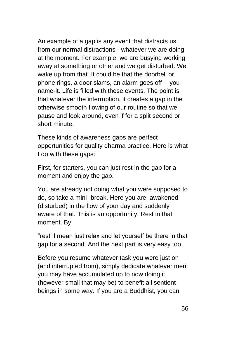An example of a gap is any event that distracts us from our normal distractions - whatever we are doing at the moment. For example: we are busying working away at something or other and we get disturbed. We wake up from that. It could be that the doorbell or phone rings, a door slams, an alarm goes off -- youname-it. Life is filled with these events. The point is that whatever the interruption, it creates a gap in the otherwise smooth flowing of our routine so that we pause and look around, even if for a split second or short minute.

These kinds of awareness gaps are perfect opportunities for quality dharma practice. Here is what I do with these gaps:

First, for starters, you can just rest in the gap for a moment and enjoy the gap.

You are already not doing what you were supposed to do, so take a mini- break. Here you are, awakened (disturbed) in the flow of your day and suddenly aware of that. This is an opportunity. Rest in that moment. By

"rest' I mean just relax and let yourself be there in that gap for a second. And the next part is very easy too.

Before you resume whatever task you were just on (and interrupted from), simply dedicate whatever merit you may have accumulated up to now doing it (however small that may be) to benefit all sentient beings in some way. If you are a Buddhist, you can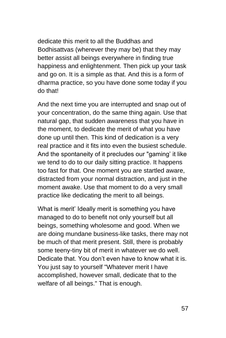dedicate this merit to all the Buddhas and Bodhisattvas (wherever they may be) that they may better assist all beings everywhere in finding true happiness and enlightenment. Then pick up your task and go on. It is a simple as that. And this is a form of dharma practice, so you have done some today if you do that!

And the next time you are interrupted and snap out of your concentration, do the same thing again. Use that natural gap, that sudden awareness that you have in the moment, to dedicate the merit of what you have done up until then. This kind of dedication is a very real practice and it fits into even the busiest schedule. And the spontaneity of it precludes our "gaming' it like we tend to do to our daily sitting practice. It happens too fast for that. One moment you are startled aware, distracted from your normal distraction, and just in the moment awake. Use that moment to do a very small practice like dedicating the merit to all beings.

What is merit' Ideally merit is something you have managed to do to benefit not only yourself but all beings, something wholesome and good. When we are doing mundane business-like tasks, there may not be much of that merit present. Still, there is probably some teeny-tiny bit of merit in whatever we do well. Dedicate that. You don't even have to know what it is. You just say to yourself "Whatever merit I have accomplished, however small, dedicate that to the welfare of all beings." That is enough.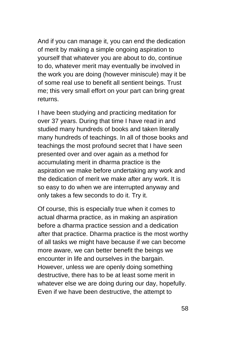And if you can manage it, you can end the dedication of merit by making a simple ongoing aspiration to yourself that whatever you are about to do, continue to do, whatever merit may eventually be involved in the work you are doing (however miniscule) may it be of some real use to benefit all sentient beings. Trust me; this very small effort on your part can bring great returns.

I have been studying and practicing meditation for over 37 years. During that time I have read in and studied many hundreds of books and taken literally many hundreds of teachings. In all of those books and teachings the most profound secret that I have seen presented over and over again as a method for accumulating merit in dharma practice is the aspiration we make before undertaking any work and the dedication of merit we make after any work. It is so easy to do when we are interrupted anyway and only takes a few seconds to do it. Try it.

Of course, this is especially true when it comes to actual dharma practice, as in making an aspiration before a dharma practice session and a dedication after that practice. Dharma practice is the most worthy of all tasks we might have because if we can become more aware, we can better benefit the beings we encounter in life and ourselves in the bargain. However, unless we are openly doing something destructive, there has to be at least some merit in whatever else we are doing during our day, hopefully. Even if we have been destructive, the attempt to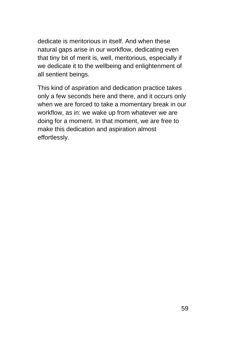dedicate is meritorious in itself. And when these natural gaps arise in our workflow, dedicating even that tiny bit of merit is, well, meritorious, especially if we dedicate it to the wellbeing and enlightenment of all sentient beings.

This kind of aspiration and dedication practice takes only a few seconds here and there, and it occurs only when we are forced to take a momentary break in our workflow, as in: we wake up from whatever we are doing for a moment. In that moment, we are free to make this dedication and aspiration almost effortlessly.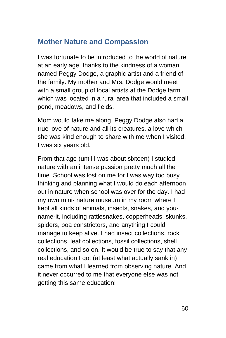## **Mother Nature and Compassion**

I was fortunate to be introduced to the world of nature at an early age, thanks to the kindness of a woman named Peggy Dodge, a graphic artist and a friend of the family. My mother and Mrs. Dodge would meet with a small group of local artists at the Dodge farm which was located in a rural area that included a small pond, meadows, and fields.

Mom would take me along. Peggy Dodge also had a true love of nature and all its creatures, a love which she was kind enough to share with me when I visited. I was six years old.

From that age (until I was about sixteen) I studied nature with an intense passion pretty much all the time. School was lost on me for I was way too busy thinking and planning what I would do each afternoon out in nature when school was over for the day. I had my own mini- nature museum in my room where I kept all kinds of animals, insects, snakes, and youname-it, including rattlesnakes, copperheads, skunks, spiders, boa constrictors, and anything I could manage to keep alive. I had insect collections, rock collections, leaf collections, fossil collections, shell collections, and so on. It would be true to say that any real education I got (at least what actually sank in) came from what I learned from observing nature. And it never occurred to me that everyone else was not getting this same education!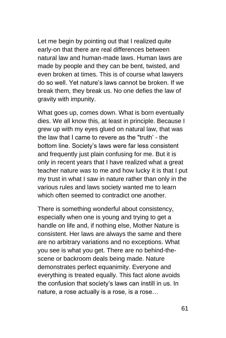Let me begin by pointing out that I realized quite early-on that there are real differences between natural law and human-made laws. Human laws are made by people and they can be bent, twisted, and even broken at times. This is of course what lawyers do so well. Yet nature's laws cannot be broken. If we break them, they break us. No one defies the law of gravity with impunity.

What goes up, comes down. What is born eventually dies. We all know this, at least in principle. Because I grew up with my eyes glued on natural law, that was the law that I came to revere as the "truth' - the bottom line. Society's laws were far less consistent and frequently just plain confusing for me. But it is only in recent years that I have realized what a great teacher nature was to me and how lucky it is that I put my trust in what I saw in nature rather than only in the various rules and laws society wanted me to learn which often seemed to contradict one another.

There is something wonderful about consistency, especially when one is young and trying to get a handle on life and, if nothing else, Mother Nature is consistent. Her laws are always the same and there are no arbitrary variations and no exceptions. What you see is what you get. There are no behind-thescene or backroom deals being made. Nature demonstrates perfect equanimity. Everyone and everything is treated equally. This fact alone avoids the confusion that society's laws can instill in us. In nature, a rose actually is a rose, is a rose…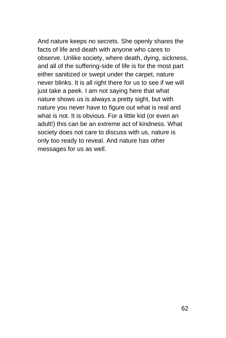And nature keeps no secrets. She openly shares the facts of life and death with anyone who cares to observe. Unlike society, where death, dying, sickness, and all of the suffering-side of life is for the most part either sanitized or swept under the carpet, nature never blinks. It is all right there for us to see if we will just take a peek. I am not saying here that what nature shows us is always a pretty sight, but with nature you never have to figure out what is real and what is not. It is obvious. For a little kid (or even an adult!) this can be an extreme act of kindness. What society does not care to discuss with us, nature is only too ready to reveal. And nature has other messages for us as well.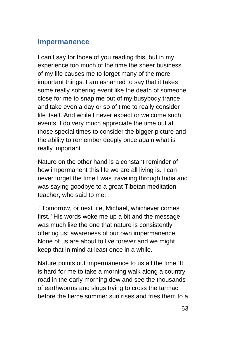#### **Impermanence**

I can't say for those of you reading this, but in my experience too much of the time the sheer business of my life causes me to forget many of the more important things. I am ashamed to say that it takes some really sobering event like the death of someone close for me to snap me out of my busybody trance and take even a day or so of time to really consider life itself. And while I never expect or welcome such events, I do very much appreciate the time out at those special times to consider the bigger picture and the ability to remember deeply once again what is really important.

Nature on the other hand is a constant reminder of how impermanent this life we are all living is. I can never forget the time I was traveling through India and was saying goodbye to a great Tibetan meditation teacher, who said to me:

"Tomorrow, or next life, Michael, whichever comes first." His words woke me up a bit and the message was much like the one that nature is consistently offering us: awareness of our own impermanence. None of us are about to live forever and we might keep that in mind at least once in a while.

Nature points out impermanence to us all the time. It is hard for me to take a morning walk along a country road in the early morning dew and see the thousands of earthworms and slugs trying to cross the tarmac before the fierce summer sun rises and fries them to a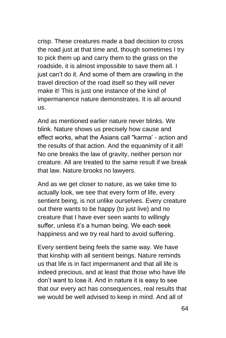crisp. These creatures made a bad decision to cross the road just at that time and, though sometimes I try to pick them up and carry them to the grass on the roadside, it is almost impossible to save them all. I just can't do it. And some of them are crawling in the travel direction of the road itself so they will never make it! This is just one instance of the kind of impermanence nature demonstrates. It is all around us.

And as mentioned earlier nature never blinks. We blink. Nature shows us precisely how cause and effect works, what the Asians call "karma' - action and the results of that action. And the equanimity of it all! No one breaks the law of gravity, neither person nor creature. All are treated to the same result if we break that law. Nature brooks no lawyers.

And as we get closer to nature, as we take time to actually look, we see that every form of life, every sentient being, is not unlike ourselves. Every creature out there wants to be happy (to just live) and no creature that I have ever seen wants to willingly suffer, unless it's a human being. We each seek happiness and we try real hard to avoid suffering.

Every sentient being feels the same way. We have that kinship with all sentient beings. Nature reminds us that life is in fact impermanent and that all life is indeed precious, and at least that those who have life don't want to lose it. And in nature it is easy to see that our every act has consequences, real results that we would be well advised to keep in mind. And all of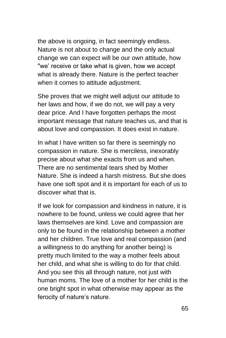the above is ongoing, in fact seemingly endless. Nature is not about to change and the only actual change we can expect will be our own attitude, how "we' receive or take what is given, how we accept what is already there. Nature is the perfect teacher when it comes to attitude adjustment.

She proves that we might well adjust our attitude to her laws and how, if we do not, we will pay a very dear price. And I have forgotten perhaps the most important message that nature teaches us, and that is about love and compassion. It does exist in nature.

In what I have written so far there is seemingly no compassion in nature. She is merciless, inexorably precise about what she exacts from us and when. There are no sentimental tears shed by Mother Nature. She is indeed a harsh mistress. But she does have one soft spot and it is important for each of us to discover what that is.

If we look for compassion and kindness in nature, it is nowhere to be found, unless we could agree that her laws themselves are kind. Love and compassion are only to be found in the relationship between a mother and her children. True love and real compassion (and a willingness to do anything for another being) is pretty much limited to the way a mother feels about her child, and what she is willing to do for that child. And you see this all through nature, not just with human moms. The love of a mother for her child is the one bright spot in what otherwise may appear as the ferocity of nature's nature.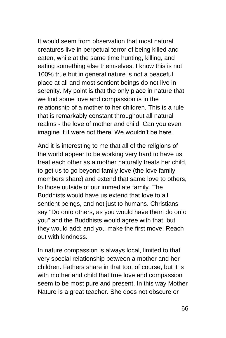It would seem from observation that most natural creatures live in perpetual terror of being killed and eaten, while at the same time hunting, killing, and eating something else themselves. I know this is not 100% true but in general nature is not a peaceful place at all and most sentient beings do not live in serenity. My point is that the only place in nature that we find some love and compassion is in the relationship of a mother to her children. This is a rule that is remarkably constant throughout all natural realms - the love of mother and child. Can you even imagine if it were not there' We wouldn't be here.

And it is interesting to me that all of the religions of the world appear to be working very hard to have us treat each other as a mother naturally treats her child, to get us to go beyond family love (the love family members share) and extend that same love to others, to those outside of our immediate family. The Buddhists would have us extend that love to all sentient beings, and not just to humans. Christians say "Do onto others, as you would have them do onto you" and the Buddhists would agree with that, but they would add: and you make the first move! Reach out with kindness.

In nature compassion is always local, limited to that very special relationship between a mother and her children. Fathers share in that too, of course, but it is with mother and child that true love and compassion seem to be most pure and present. In this way Mother Nature is a great teacher. She does not obscure or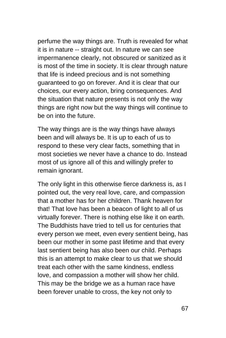perfume the way things are. Truth is revealed for what it is in nature -- straight out. In nature we can see impermanence clearly, not obscured or sanitized as it is most of the time in society. It is clear through nature that life is indeed precious and is not something guaranteed to go on forever. And it is clear that our choices, our every action, bring consequences. And the situation that nature presents is not only the way things are right now but the way things will continue to be on into the future.

The way things are is the way things have always been and will always be. It is up to each of us to respond to these very clear facts, something that in most societies we never have a chance to do. Instead most of us ignore all of this and willingly prefer to remain ignorant.

The only light in this otherwise fierce darkness is, as I pointed out, the very real love, care, and compassion that a mother has for her children. Thank heaven for that! That love has been a beacon of light to all of us virtually forever. There is nothing else like it on earth. The Buddhists have tried to tell us for centuries that every person we meet, even every sentient being, has been our mother in some past lifetime and that every last sentient being has also been our child. Perhaps this is an attempt to make clear to us that we should treat each other with the same kindness, endless love, and compassion a mother will show her child. This may be the bridge we as a human race have been forever unable to cross, the key not only to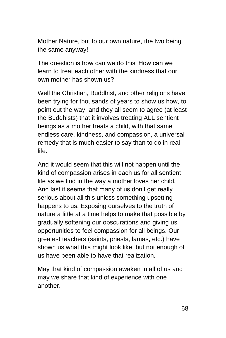Mother Nature, but to our own nature, the two being the same anyway!

The question is how can we do this' How can we learn to treat each other with the kindness that our own mother has shown us?

Well the Christian, Buddhist, and other religions have been trying for thousands of years to show us how, to point out the way, and they all seem to agree (at least the Buddhists) that it involves treating ALL sentient beings as a mother treats a child, with that same endless care, kindness, and compassion, a universal remedy that is much easier to say than to do in real life.

And it would seem that this will not happen until the kind of compassion arises in each us for all sentient life as we find in the way a mother loves her child. And last it seems that many of us don't get really serious about all this unless something upsetting happens to us. Exposing ourselves to the truth of nature a little at a time helps to make that possible by gradually softening our obscurations and giving us opportunities to feel compassion for all beings. Our greatest teachers (saints, priests, lamas, etc.) have shown us what this might look like, but not enough of us have been able to have that realization.

May that kind of compassion awaken in all of us and may we share that kind of experience with one another.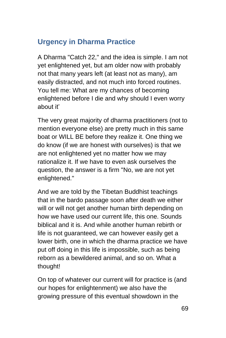# **Urgency in Dharma Practice**

A Dharma "Catch 22," and the idea is simple. I am not yet enlightened yet, but am older now with probably not that many years left (at least not as many), am easily distracted, and not much into forced routines. You tell me: What are my chances of becoming enlightened before I die and why should I even worry about it'

The very great majority of dharma practitioners (not to mention everyone else) are pretty much in this same boat or WILL BE before they realize it. One thing we do know (if we are honest with ourselves) is that we are not enlightened yet no matter how we may rationalize it. If we have to even ask ourselves the question, the answer is a firm "No, we are not yet enlightened."

And we are told by the Tibetan Buddhist teachings that in the bardo passage soon after death we either will or will not get another human birth depending on how we have used our current life, this one. Sounds biblical and it is. And while another human rebirth or life is not guaranteed, we can however easily get a lower birth, one in which the dharma practice we have put off doing in this life is impossible, such as being reborn as a bewildered animal, and so on. What a thought!

On top of whatever our current will for practice is (and our hopes for enlightenment) we also have the growing pressure of this eventual showdown in the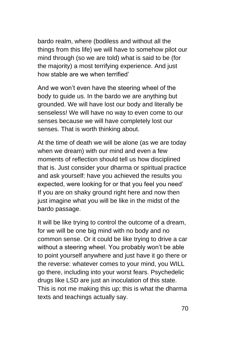bardo realm, where (bodiless and without all the things from this life) we will have to somehow pilot our mind through (so we are told) what is said to be (for the majority) a most terrifying experience. And just how stable are we when terrified'

And we won't even have the steering wheel of the body to guide us. In the bardo we are anything but grounded. We will have lost our body and literally be senseless! We will have no way to even come to our senses because we will have completely lost our senses. That is worth thinking about.

At the time of death we will be alone (as we are today when we dream) with our mind and even a few moments of reflection should tell us how disciplined that is. Just consider your dharma or spiritual practice and ask yourself: have you achieved the results you expected, were looking for or that you feel you need' If you are on shaky ground right here and now then just imagine what you will be like in the midst of the bardo passage.

It will be like trying to control the outcome of a dream, for we will be one big mind with no body and no common sense. Or it could be like trying to drive a car without a steering wheel. You probably won't be able to point yourself anywhere and just have it go there or the reverse: whatever comes to your mind, you WILL go there, including into your worst fears. Psychedelic drugs like LSD are just an inoculation of this state. This is not me making this up; this is what the dharma texts and teachings actually say.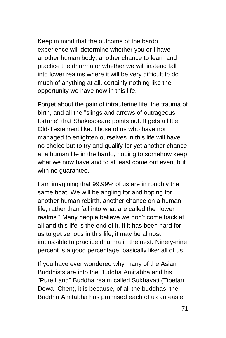Keep in mind that the outcome of the bardo experience will determine whether you or I have another human body, another chance to learn and practice the dharma or whether we will instead fall into lower realms where it will be very difficult to do much of anything at all, certainly nothing like the opportunity we have now in this life.

Forget about the pain of intrauterine life, the trauma of birth, and all the "slings and arrows of outrageous fortune" that Shakespeare points out. It gets a little Old-Testament like. Those of us who have not managed to enlighten ourselves in this life will have no choice but to try and qualify for yet another chance at a human life in the bardo, hoping to somehow keep what we now have and to at least come out even, but with no guarantee.

I am imagining that 99.99% of us are in roughly the same boat. We will be angling for and hoping for another human rebirth, another chance on a human life, rather than fall into what are called the "lower realms." Many people believe we don't come back at all and this life is the end of it. If it has been hard for us to get serious in this life, it may be almost impossible to practice dharma in the next. Ninety-nine percent is a good percentage, basically like: all of us.

If you have ever wondered why many of the Asian Buddhists are into the Buddha Amitabha and his "Pure Land" Buddha realm called Sukhavati (Tibetan: Dewa- Chen), it is because, of all the buddhas, the Buddha Amitabha has promised each of us an easier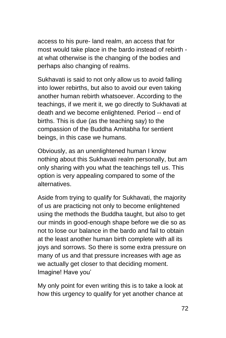access to his pure- land realm, an access that for most would take place in the bardo instead of rebirth at what otherwise is the changing of the bodies and perhaps also changing of realms.

Sukhavati is said to not only allow us to avoid falling into lower rebirths, but also to avoid our even taking another human rebirth whatsoever. According to the teachings, if we merit it, we go directly to Sukhavati at death and we become enlightened. Period -- end of births. This is due (as the teaching say) to the compassion of the Buddha Amitabha for sentient beings, in this case we humans.

Obviously, as an unenlightened human I know nothing about this Sukhavati realm personally, but am only sharing with you what the teachings tell us. This option is very appealing compared to some of the alternatives.

Aside from trying to qualify for Sukhavati, the majority of us are practicing not only to become enlightened using the methods the Buddha taught, but also to get our minds in good-enough shape before we die so as not to lose our balance in the bardo and fail to obtain at the least another human birth complete with all its joys and sorrows. So there is some extra pressure on many of us and that pressure increases with age as we actually get closer to that deciding moment. Imagine! Have you'

My only point for even writing this is to take a look at how this urgency to qualify for yet another chance at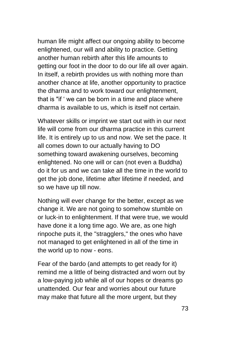human life might affect our ongoing ability to become enlightened, our will and ability to practice. Getting another human rebirth after this life amounts to getting our foot in the door to do our life all over again. In itself, a rebirth provides us with nothing more than another chance at life, another opportunity to practice the dharma and to work toward our enlightenment, that is "if ' we can be born in a time and place where dharma is available to us, which is itself not certain.

Whatever skills or imprint we start out with in our next life will come from our dharma practice in this current life. It is entirely up to us and now. We set the pace. It all comes down to our actually having to DO something toward awakening ourselves, becoming enlightened. No one will or can (not even a Buddha) do it for us and we can take all the time in the world to get the job done, lifetime after lifetime if needed, and so we have up till now.

Nothing will ever change for the better, except as we change it. We are not going to somehow stumble on or luck-in to enlightenment. If that were true, we would have done it a long time ago. We are, as one high rinpoche puts it, the "stragglers," the ones who have not managed to get enlightened in all of the time in the world up to now - eons.

Fear of the bardo (and attempts to get ready for it) remind me a little of being distracted and worn out by a low-paying job while all of our hopes or dreams go unattended. Our fear and worries about our future may make that future all the more urgent, but they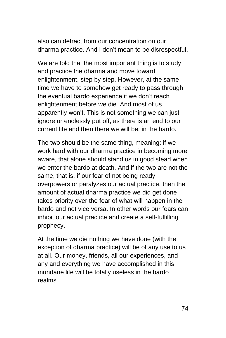also can detract from our concentration on our dharma practice. And I don't mean to be disrespectful.

We are told that the most important thing is to study and practice the dharma and move toward enlightenment, step by step. However, at the same time we have to somehow get ready to pass through the eventual bardo experience if we don't reach enlightenment before we die. And most of us apparently won't. This is not something we can just ignore or endlessly put off, as there is an end to our current life and then there we will be: in the bardo.

The two should be the same thing, meaning: if we work hard with our dharma practice in becoming more aware, that alone should stand us in good stead when we enter the bardo at death. And if the two are not the same, that is, if our fear of not being ready overpowers or paralyzes our actual practice, then the amount of actual dharma practice we did get done takes priority over the fear of what will happen in the bardo and not vice versa. In other words our fears can inhibit our actual practice and create a self-fulfilling prophecy.

At the time we die nothing we have done (with the exception of dharma practice) will be of any use to us at all. Our money, friends, all our experiences, and any and everything we have accomplished in this mundane life will be totally useless in the bardo realms.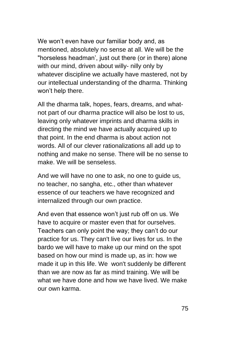We won't even have our familiar body and, as mentioned, absolutely no sense at all. We will be the "horseless headman', just out there (or in there) alone with our mind, driven about willy- nilly only by whatever discipline we actually have mastered, not by our intellectual understanding of the dharma. Thinking won't help there.

All the dharma talk, hopes, fears, dreams, and whatnot part of our dharma practice will also be lost to us, leaving only whatever imprints and dharma skills in directing the mind we have actually acquired up to that point. In the end dharma is about action not words. All of our clever rationalizations all add up to nothing and make no sense. There will be no sense to make. We will be senseless.

And we will have no one to ask, no one to guide us, no teacher, no sangha, etc., other than whatever essence of our teachers we have recognized and internalized through our own practice.

And even that essence won't just rub off on us. We have to acquire or master even that for ourselves. Teachers can only point the way; they can't do our practice for us. They can't live our lives for us. In the bardo we will have to make up our mind on the spot based on how our mind is made up, as in: how we made it up in this life. We won't suddenly be different than we are now as far as mind training. We will be what we have done and how we have lived. We make our own karma.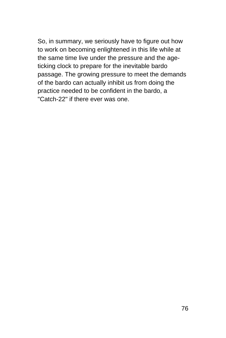So, in summary, we seriously have to figure out how to work on becoming enlightened in this life while at the same time live under the pressure and the ageticking clock to prepare for the inevitable bardo passage. The growing pressure to meet the demands of the bardo can actually inhibit us from doing the practice needed to be confident in the bardo, a "Catch-22" if there ever was one.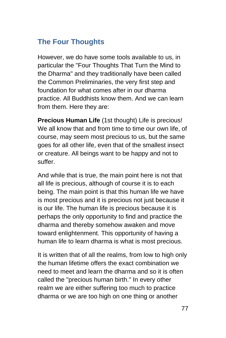# **The Four Thoughts**

However, we do have some tools available to us, in particular the "Four Thoughts That Turn the Mind to the Dharma" and they traditionally have been called the Common Preliminaries, the very first step and foundation for what comes after in our dharma practice. All Buddhists know them. And we can learn from them. Here they are:

**Precious Human Life** (1st thought) Life is precious! We all know that and from time to time our own life, of course, may seem most precious to us, but the same goes for all other life, even that of the smallest insect or creature. All beings want to be happy and not to suffer.

And while that is true, the main point here is not that all life is precious, although of course it is to each being. The main point is that this human life we have is most precious and it is precious not just because it is our life. The human life is precious because it is perhaps the only opportunity to find and practice the dharma and thereby somehow awaken and move toward enlightenment. This opportunity of having a human life to learn dharma is what is most precious.

It is written that of all the realms, from low to high only the human lifetime offers the exact combination we need to meet and learn the dharma and so it is often called the "precious human birth." In every other realm we are either suffering too much to practice dharma or we are too high on one thing or another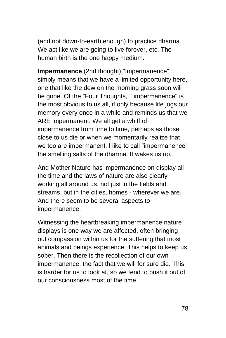(and not down-to-earth enough) to practice dharma. We act like we are going to live forever, etc. The human birth is the one happy medium.

**Impermanence** (2nd thought) "Impermanence" simply means that we have a limited opportunity here, one that like the dew on the morning grass soon will be gone. Of the "Four Thoughts," "impermanence" is the most obvious to us all, if only because life jogs our memory every once in a while and reminds us that we ARE impermanent. We all get a whiff of impermanence from time to time, perhaps as those close to us die or when we momentarily realize that we too are impermanent. I like to call "impermanence' the smelling salts of the dharma. It wakes us up.

And Mother Nature has impermanence on display all the time and the laws of nature are also clearly working all around us, not just in the fields and streams, but in the cities, homes - wherever we are. And there seem to be several aspects to impermanence.

Witnessing the heartbreaking impermanence nature displays is one way we are affected, often bringing out compassion within us for the suffering that most animals and beings experience. This helps to keep us sober. Then there is the recollection of our own impermanence, the fact that we will for sure die. This is harder for us to look at, so we tend to push it out of our consciousness most of the time.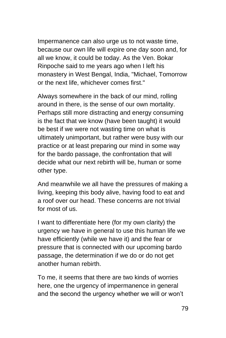Impermanence can also urge us to not waste time, because our own life will expire one day soon and, for all we know, it could be today. As the Ven. Bokar Rinpoche said to me years ago when I left his monastery in West Bengal, India, "Michael, Tomorrow or the next life, whichever comes first."

Always somewhere in the back of our mind, rolling around in there, is the sense of our own mortality. Perhaps still more distracting and energy consuming is the fact that we know (have been taught) it would be best if we were not wasting time on what is ultimately unimportant, but rather were busy with our practice or at least preparing our mind in some way for the bardo passage, the confrontation that will decide what our next rebirth will be, human or some other type.

And meanwhile we all have the pressures of making a living, keeping this body alive, having food to eat and a roof over our head. These concerns are not trivial for most of us.

I want to differentiate here (for my own clarity) the urgency we have in general to use this human life we have efficiently (while we have it) and the fear or pressure that is connected with our upcoming bardo passage, the determination if we do or do not get another human rebirth.

To me, it seems that there are two kinds of worries here, one the urgency of impermanence in general and the second the urgency whether we will or won't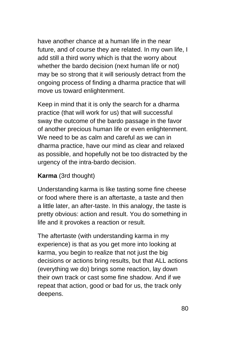have another chance at a human life in the near future, and of course they are related. In my own life, I add still a third worry which is that the worry about whether the bardo decision (next human life or not) may be so strong that it will seriously detract from the ongoing process of finding a dharma practice that will move us toward enlightenment.

Keep in mind that it is only the search for a dharma practice (that will work for us) that will successful sway the outcome of the bardo passage in the favor of another precious human life or even enlightenment. We need to be as calm and careful as we can in dharma practice, have our mind as clear and relaxed as possible, and hopefully not be too distracted by the urgency of the intra-bardo decision.

### **Karma** (3rd thought)

Understanding karma is like tasting some fine cheese or food where there is an aftertaste, a taste and then a little later, an after-taste. In this analogy, the taste is pretty obvious: action and result. You do something in life and it provokes a reaction or result.

The aftertaste (with understanding karma in my experience) is that as you get more into looking at karma, you begin to realize that not just the big decisions or actions bring results, but that ALL actions (everything we do) brings some reaction, lay down their own track or cast some fine shadow. And if we repeat that action, good or bad for us, the track only deepens.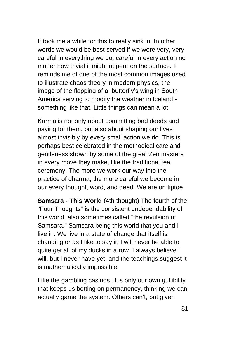It took me a while for this to really sink in. In other words we would be best served if we were very, very careful in everything we do, careful in every action no matter how trivial it might appear on the surface. It reminds me of one of the most common images used to illustrate chaos theory in modern physics, the image of the flapping of a butterfly's wing in South America serving to modify the weather in Iceland something like that. Little things can mean a lot.

Karma is not only about committing bad deeds and paying for them, but also about shaping our lives almost invisibly by every small action we do. This is perhaps best celebrated in the methodical care and gentleness shown by some of the great Zen masters in every move they make, like the traditional tea ceremony. The more we work our way into the practice of dharma, the more careful we become in our every thought, word, and deed. We are on tiptoe.

**Samsara - This World** (4th thought) The fourth of the "Four Thoughts" is the consistent undependability of this world, also sometimes called "the revulsion of Samsara," Samsara being this world that you and I live in. We live in a state of change that itself is changing or as I like to say it: I will never be able to quite get all of my ducks in a row. I always believe I will, but I never have yet, and the teachings suggest it is mathematically impossible.

Like the gambling casinos, it is only our own gullibility that keeps us betting on permanency, thinking we can actually game the system. Others can't, but given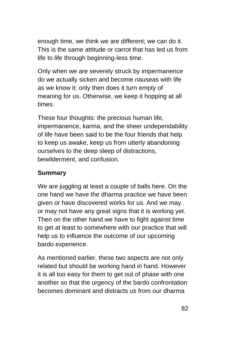enough time, we think we are different; we can do it. This is the same attitude or carrot that has led us from life to life through beginning-less time.

Only when we are severely struck by impermanence do we actually sicken and become nauseas with life as we know it; only then does it turn empty of meaning for us. Otherwise, we keep it hopping at all times.

These four thoughts: the precious human life, impermanence, karma, and the sheer undependability of life have been said to be the four friends that help to keep us awake, keep us from utterly abandoning ourselves to the deep sleep of distractions, bewilderment, and confusion.

### **Summary**

We are juggling at least a couple of balls here. On the one hand we have the dharma practice we have been given or have discovered works for us. And we may or may not have any great signs that it is working yet. Then on the other hand we have to fight against time to get at least to somewhere with our practice that will help us to influence the outcome of our upcoming bardo experience.

As mentioned earlier, these two aspects are not only related but should be working hand in hand. However it is all too easy for them to get out of phase with one another so that the urgency of the bardo confrontation becomes dominant and distracts us from our dharma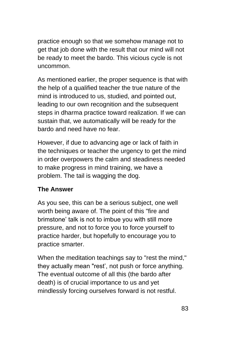practice enough so that we somehow manage not to get that job done with the result that our mind will not be ready to meet the bardo. This vicious cycle is not uncommon.

As mentioned earlier, the proper sequence is that with the help of a qualified teacher the true nature of the mind is introduced to us, studied, and pointed out, leading to our own recognition and the subsequent steps in dharma practice toward realization. If we can sustain that, we automatically will be ready for the bardo and need have no fear.

However, if due to advancing age or lack of faith in the techniques or teacher the urgency to get the mind in order overpowers the calm and steadiness needed to make progress in mind training, we have a problem. The tail is wagging the dog.

### **The Answer**

As you see, this can be a serious subject, one well worth being aware of. The point of this "fire and brimstone' talk is not to imbue you with still more pressure, and not to force you to force yourself to practice harder, but hopefully to encourage you to practice smarter.

When the meditation teachings say to "rest the mind," they actually mean "rest', not push or force anything. The eventual outcome of all this (the bardo after death) is of crucial importance to us and yet mindlessly forcing ourselves forward is not restful.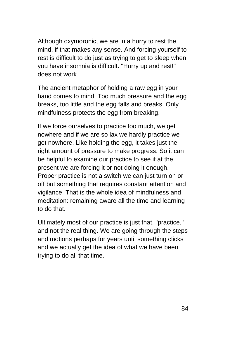Although oxymoronic, we are in a hurry to rest the mind, if that makes any sense. And forcing yourself to rest is difficult to do just as trying to get to sleep when you have insomnia is difficult. "Hurry up and rest!" does not work.

The ancient metaphor of holding a raw egg in your hand comes to mind. Too much pressure and the egg breaks, too little and the egg falls and breaks. Only mindfulness protects the egg from breaking.

If we force ourselves to practice too much, we get nowhere and if we are so lax we hardly practice we get nowhere. Like holding the egg, it takes just the right amount of pressure to make progress. So it can be helpful to examine our practice to see if at the present we are forcing it or not doing it enough. Proper practice is not a switch we can just turn on or off but something that requires constant attention and vigilance. That is the whole idea of mindfulness and meditation: remaining aware all the time and learning to do that.

Ultimately most of our practice is just that, "practice," and not the real thing. We are going through the steps and motions perhaps for years until something clicks and we actually get the idea of what we have been trying to do all that time.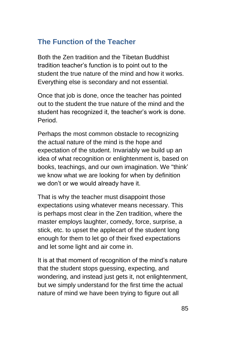# **The Function of the Teacher**

Both the Zen tradition and the Tibetan Buddhist tradition teacher's function is to point out to the student the true nature of the mind and how it works. Everything else is secondary and not essential.

Once that job is done, once the teacher has pointed out to the student the true nature of the mind and the student has recognized it, the teacher's work is done. Period.

Perhaps the most common obstacle to recognizing the actual nature of the mind is the hope and expectation of the student. Invariably we build up an idea of what recognition or enlightenment is, based on books, teachings, and our own imagination. We "think' we know what we are looking for when by definition we don't or we would already have it.

That is why the teacher must disappoint those expectations using whatever means necessary. This is perhaps most clear in the Zen tradition, where the master employs laughter, comedy, force, surprise, a stick, etc. to upset the applecart of the student long enough for them to let go of their fixed expectations and let some light and air come in.

It is at that moment of recognition of the mind's nature that the student stops guessing, expecting, and wondering, and instead just gets it, not enlightenment, but we simply understand for the first time the actual nature of mind we have been trying to figure out all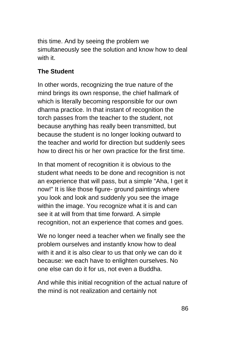this time. And by seeing the problem we simultaneously see the solution and know how to deal with it.

### **The Student**

In other words, recognizing the true nature of the mind brings its own response, the chief hallmark of which is literally becoming responsible for our own dharma practice. In that instant of recognition the torch passes from the teacher to the student, not because anything has really been transmitted, but because the student is no longer looking outward to the teacher and world for direction but suddenly sees how to direct his or her own practice for the first time.

In that moment of recognition it is obvious to the student what needs to be done and recognition is not an experience that will pass, but a simple "Aha, I get it now!" It is like those figure- ground paintings where you look and look and suddenly you see the image within the image. You recognize what it is and can see it at will from that time forward. A simple recognition, not an experience that comes and goes.

We no longer need a teacher when we finally see the problem ourselves and instantly know how to deal with it and it is also clear to us that only we can do it because: we each have to enlighten ourselves. No one else can do it for us, not even a Buddha.

And while this initial recognition of the actual nature of the mind is not realization and certainly not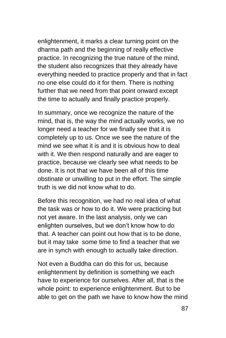enlightenment, it marks a clear turning point on the dharma path and the beginning of really effective practice. In recognizing the true nature of the mind, the student also recognizes that they already have everything needed to practice properly and that in fact no one else could do it for them. There is nothing further that we need from that point onward except the time to actually and finally practice properly.

In summary, once we recognize the nature of the mind, that is, the way the mind actually works, we no longer need a teacher for we finally see that it is completely up to us. Once we see the nature of the mind we see what it is and it is obvious how to deal with it. We then respond naturally and are eager to practice, because we clearly see what needs to be done. It is not that we have been all of this time obstinate or unwilling to put in the effort. The simple truth is we did not know what to do.

Before this recognition, we had no real idea of what the task was or how to do it. We were practicing but not yet aware. In the last analysis, only we can enlighten ourselves, but we don't know how to do that. A teacher can point out how that is to be done, but it may take some time to find a teacher that we are in synch with enough to actually take direction.

Not even a Buddha can do this for us, because enlightenment by definition is something we each have to experience for ourselves. After all, that is the whole point: to experience enlightenment. But to be able to get on the path we have to know how the mind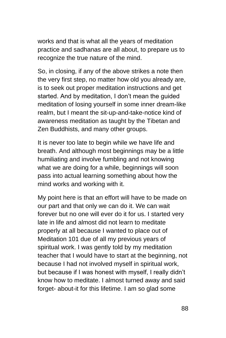works and that is what all the years of meditation practice and sadhanas are all about, to prepare us to recognize the true nature of the mind.

So, in closing, if any of the above strikes a note then the very first step, no matter how old you already are, is to seek out proper meditation instructions and get started. And by meditation, I don't mean the guided meditation of losing yourself in some inner dream-like realm, but I meant the sit-up-and-take-notice kind of awareness meditation as taught by the Tibetan and Zen Buddhists, and many other groups.

It is never too late to begin while we have life and breath. And although most beginnings may be a little humiliating and involve fumbling and not knowing what we are doing for a while, beginnings will soon pass into actual learning something about how the mind works and working with it.

My point here is that an effort will have to be made on our part and that only we can do it. We can wait forever but no one will ever do it for us. I started very late in life and almost did not learn to meditate properly at all because I wanted to place out of Meditation 101 due of all my previous years of spiritual work. I was gently told by my meditation teacher that I would have to start at the beginning, not because I had not involved myself in spiritual work, but because if I was honest with myself, I really didn't know how to meditate. I almost turned away and said forget- about-it for this lifetime. I am so glad some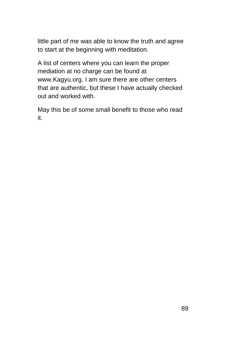little part of me was able to know the truth and agree to start at the beginning with meditation.

A list of centers where you can learn the proper mediation at no charge can be found at www.Kagyu.org. I am sure there are other centers that are authentic, but these I have actually checked out and worked with.

May this be of some small benefit to those who read it.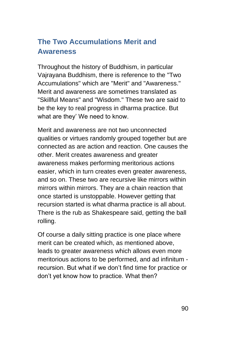# **The Two Accumulations Merit and Awareness**

Throughout the history of Buddhism, in particular Vajrayana Buddhism, there is reference to the "Two Accumulations" which are "Merit" and "Awareness." Merit and awareness are sometimes translated as "Skillful Means" and "Wisdom." These two are said to be the key to real progress in dharma practice. But what are they' We need to know.

Merit and awareness are not two unconnected qualities or virtues randomly grouped together but are connected as are action and reaction. One causes the other. Merit creates awareness and greater awareness makes performing meritorious actions easier, which in turn creates even greater awareness, and so on. These two are recursive like mirrors within mirrors within mirrors. They are a chain reaction that once started is unstoppable. However getting that recursion started is what dharma practice is all about. There is the rub as Shakespeare said, getting the ball rolling.

Of course a daily sitting practice is one place where merit can be created which, as mentioned above, leads to greater awareness which allows even more meritorious actions to be performed, and ad infinitum recursion. But what if we don't find time for practice or don't yet know how to practice. What then?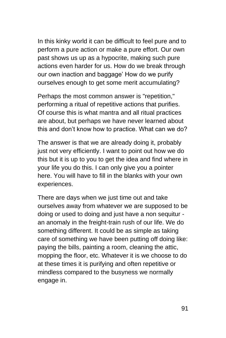In this kinky world it can be difficult to feel pure and to perform a pure action or make a pure effort. Our own past shows us up as a hypocrite, making such pure actions even harder for us. How do we break through our own inaction and baggage' How do we purify ourselves enough to get some merit accumulating?

Perhaps the most common answer is "repetition," performing a ritual of repetitive actions that purifies. Of course this is what mantra and all ritual practices are about, but perhaps we have never learned about this and don't know how to practice. What can we do?

The answer is that we are already doing it, probably just not very efficiently. I want to point out how we do this but it is up to you to get the idea and find where in your life you do this. I can only give you a pointer here. You will have to fill in the blanks with your own experiences.

There are days when we just time out and take ourselves away from whatever we are supposed to be doing or used to doing and just have a non sequitur an anomaly in the freight-train rush of our life. We do something different. It could be as simple as taking care of something we have been putting off doing like: paying the bills, painting a room, cleaning the attic, mopping the floor, etc. Whatever it is we choose to do at these times it is purifying and often repetitive or mindless compared to the busyness we normally engage in.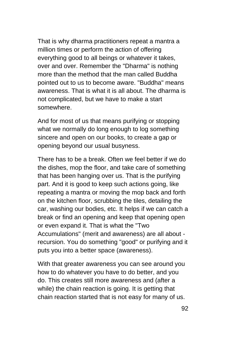That is why dharma practitioners repeat a mantra a million times or perform the action of offering everything good to all beings or whatever it takes, over and over. Remember the "Dharma" is nothing more than the method that the man called Buddha pointed out to us to become aware. "Buddha" means awareness. That is what it is all about. The dharma is not complicated, but we have to make a start somewhere.

And for most of us that means purifying or stopping what we normally do long enough to log something sincere and open on our books, to create a gap or opening beyond our usual busyness.

There has to be a break. Often we feel better if we do the dishes, mop the floor, and take care of something that has been hanging over us. That is the purifying part. And it is good to keep such actions going, like repeating a mantra or moving the mop back and forth on the kitchen floor, scrubbing the tiles, detailing the car, washing our bodies, etc. It helps if we can catch a break or find an opening and keep that opening open or even expand it. That is what the "Two Accumulations" (merit and awareness) are all about recursion. You do something "good" or purifying and it puts you into a better space (awareness).

With that greater awareness you can see around you how to do whatever you have to do better, and you do. This creates still more awareness and (after a while) the chain reaction is going. It is getting that chain reaction started that is not easy for many of us.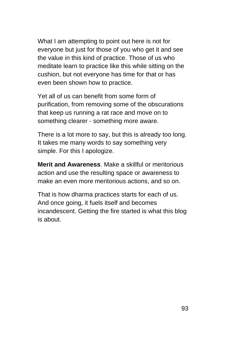What I am attempting to point out here is not for everyone but just for those of you who get it and see the value in this kind of practice. Those of us who meditate learn to practice like this while sitting on the cushion, but not everyone has time for that or has even been shown how to practice.

Yet all of us can benefit from some form of purification, from removing some of the obscurations that keep us running a rat race and move on to something clearer - something more aware.

There is a lot more to say, but this is already too long. It takes me many words to say something very simple. For this I apologize.

**Merit and Awareness**. Make a skillful or meritorious action and use the resulting space or awareness to make an even more meritorious actions, and so on.

That is how dharma practices starts for each of us. And once going, it fuels itself and becomes incandescent. Getting the fire started is what this blog is about.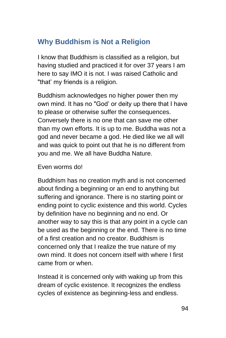## **Why Buddhism is Not a Religion**

I know that Buddhism is classified as a religion, but having studied and practiced it for over 37 years I am here to say IMO it is not. I was raised Catholic and "that' my friends is a religion.

Buddhism acknowledges no higher power then my own mind. It has no "God' or deity up there that I have to please or otherwise suffer the consequences. Conversely there is no one that can save me other than my own efforts. It is up to me. Buddha was not a god and never became a god. He died like we all will and was quick to point out that he is no different from you and me. We all have Buddha Nature.

#### Even worms do!

Buddhism has no creation myth and is not concerned about finding a beginning or an end to anything but suffering and ignorance. There is no starting point or ending point to cyclic existence and this world. Cycles by definition have no beginning and no end. Or another way to say this is that any point in a cycle can be used as the beginning or the end. There is no time of a first creation and no creator. Buddhism is concerned only that I realize the true nature of my own mind. It does not concern itself with where I first came from or when.

Instead it is concerned only with waking up from this dream of cyclic existence. It recognizes the endless cycles of existence as beginning-less and endless.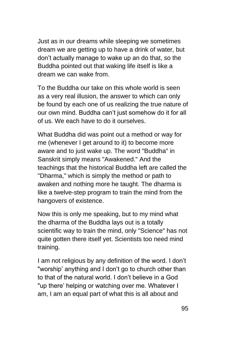Just as in our dreams while sleeping we sometimes dream we are getting up to have a drink of water, but don't actually manage to wake up an do that, so the Buddha pointed out that waking life itself is like a dream we can wake from.

To the Buddha our take on this whole world is seen as a very real illusion, the answer to which can only be found by each one of us realizing the true nature of our own mind. Buddha can't just somehow do it for all of us. We each have to do it ourselves.

What Buddha did was point out a method or way for me (whenever I get around to it) to become more aware and to just wake up. The word "Buddha" in Sanskrit simply means "Awakened." And the teachings that the historical Buddha left are called the "Dharma," which is simply the method or path to awaken and nothing more he taught. The dharma is like a twelve-step program to train the mind from the hangovers of existence.

Now this is only me speaking, but to my mind what the dharma of the Buddha lays out is a totally scientific way to train the mind, only "Science" has not quite gotten there itself yet. Scientists too need mind training.

I am not religious by any definition of the word. I don't "worship' anything and I don't go to church other than to that of the natural world. I don't believe in a God "up there' helping or watching over me. Whatever I am, I am an equal part of what this is all about and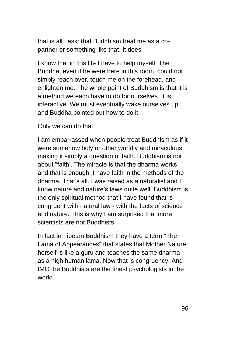that is all I ask: that Buddhism treat me as a copartner or something like that. It does.

I know that in this life I have to help myself. The Buddha, even if he were here in this room, could not simply reach over, touch me on the forehead, and enlighten me. The whole point of Buddhism is that it is a method we each have to do for ourselves. It is interactive. We must eventually wake ourselves up and Buddha pointed out how to do it.

Only we can do that.

I am embarrassed when people treat Buddhism as if it were somehow holy or other worldly and miraculous, making it simply a question of faith. Buddhism is not about "faith'. The miracle is that the dharma works and that is enough. I have faith in the methods of the dharma. That's all. I was raised as a naturalist and I know nature and nature's laws quite well. Buddhism is the only spiritual method that I have found that is congruent with natural law - with the facts of science and nature. This is why I am surprised that more scientists are not Buddhists.

In fact in Tibetan Buddhism they have a term "The Lama of Appearances" that states that Mother Nature herself is like a guru and teaches the same dharma as a high human lama. Now that is congruency. And IMO the Buddhists are the finest psychologists in the world.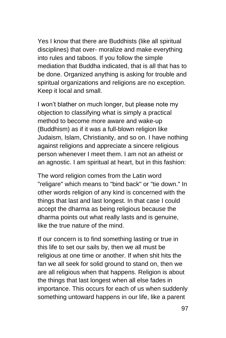Yes I know that there are Buddhists (like all spiritual disciplines) that over- moralize and make everything into rules and taboos. If you follow the simple mediation that Buddha indicated, that is all that has to be done. Organized anything is asking for trouble and spiritual organizations and religions are no exception. Keep it local and small.

I won't blather on much longer, but please note my objection to classifying what is simply a practical method to become more aware and wake-up (Buddhism) as if it was a full-blown religion like Judaism, Islam, Christianity, and so on. I have nothing against religions and appreciate a sincere religious person whenever I meet them. I am not an atheist or an agnostic. I am spiritual at heart, but in this fashion:

The word religion comes from the Latin word "religare" which means to "bind back" or "tie down." In other words religion of any kind is concerned with the things that last and last longest. In that case I could accept the dharma as being religious because the dharma points out what really lasts and is genuine, like the true nature of the mind.

If our concern is to find something lasting or true in this life to set our sails by, then we all must be religious at one time or another. If when shit hits the fan we all seek for solid ground to stand on, then we are all religious when that happens. Religion is about the things that last longest when all else fades in importance. This occurs for each of us when suddenly something untoward happens in our life, like a parent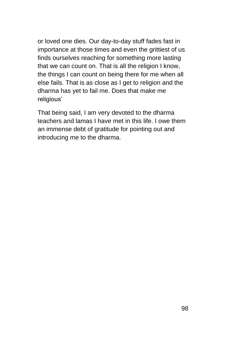or loved one dies. Our day-to-day stuff fades fast in importance at those times and even the grittiest of us finds ourselves reaching for something more lasting that we can count on. That is all the religion I know, the things I can count on being there for me when all else fails. That is as close as I get to religion and the dharma has yet to fail me. Does that make me religious'

That being said, I am very devoted to the dharma teachers and lamas I have met in this life. I owe them an immense debt of gratitude for pointing out and introducing me to the dharma.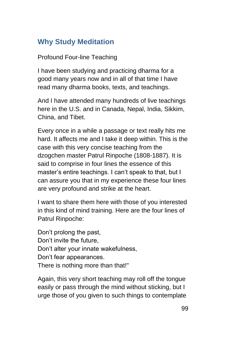# **Why Study Meditation**

### Profound Four-line Teaching

I have been studying and practicing dharma for a good many years now and in all of that time I have read many dharma books, texts, and teachings.

And I have attended many hundreds of live teachings here in the U.S. and in Canada, Nepal, India, Sikkim, China, and Tibet.

Every once in a while a passage or text really hits me hard. It affects me and I take it deep within. This is the case with this very concise teaching from the dzogchen master Patrul Rinpoche (1808-1887). It is said to comprise in four lines the essence of this master's entire teachings. I can't speak to that, but I can assure you that in my experience these four lines are very profound and strike at the heart.

I want to share them here with those of you interested in this kind of mind training. Here are the four lines of Patrul Rinpoche:

Don't prolong the past, Don't invite the future, Don't alter your innate wakefulness, Don't fear appearances. There is nothing more than that!"

Again, this very short teaching may roll off the tongue easily or pass through the mind without sticking, but I urge those of you given to such things to contemplate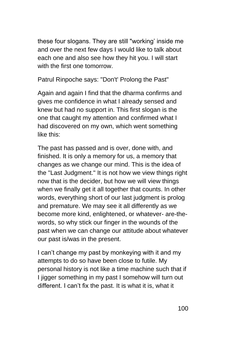these four slogans. They are still "working' inside me and over the next few days I would like to talk about each one and also see how they hit you. I will start with the first one tomorrow.

Patrul Rinpoche says: "Don't' Prolong the Past"

Again and again I find that the dharma confirms and gives me confidence in what I already sensed and knew but had no support in. This first slogan is the one that caught my attention and confirmed what I had discovered on my own, which went something like this:

The past has passed and is over, done with, and finished. It is only a memory for us, a memory that changes as we change our mind. This is the idea of the "Last Judgment." It is not how we view things right now that is the decider, but how we will view things when we finally get it all together that counts. In other words, everything short of our last judgment is prolog and premature. We may see it all differently as we become more kind, enlightened, or whatever- are-thewords, so why stick our finger in the wounds of the past when we can change our attitude about whatever our past is/was in the present.

I can't change my past by monkeying with it and my attempts to do so have been close to futile. My personal history is not like a time machine such that if I jigger something in my past I somehow will turn out different. I can't fix the past. It is what it is, what it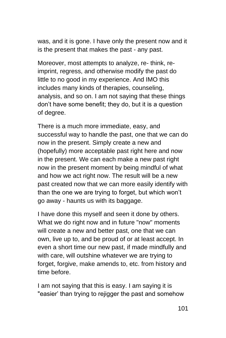was, and it is gone. I have only the present now and it is the present that makes the past - any past.

Moreover, most attempts to analyze, re- think, reimprint, regress, and otherwise modify the past do little to no good in my experience. And IMO this includes many kinds of therapies, counseling, analysis, and so on. I am not saying that these things don't have some benefit; they do, but it is a question of degree.

There is a much more immediate, easy, and successful way to handle the past, one that we can do now in the present. Simply create a new and (hopefully) more acceptable past right here and now in the present. We can each make a new past right now in the present moment by being mindful of what and how we act right now. The result will be a new past created now that we can more easily identify with than the one we are trying to forget, but which won't go away - haunts us with its baggage.

I have done this myself and seen it done by others. What we do right now and in future "now" moments will create a new and better past, one that we can own, live up to, and be proud of or at least accept. In even a short time our new past, if made mindfully and with care, will outshine whatever we are trying to forget, forgive, make amends to, etc. from history and time before.

I am not saying that this is easy. I am saying it is "easier' than trying to rejigger the past and somehow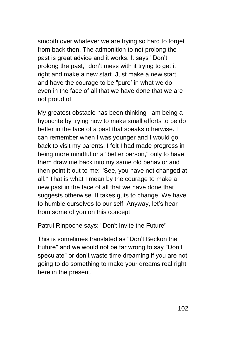smooth over whatever we are trying so hard to forget from back then. The admonition to not prolong the past is great advice and it works. It says "Don't prolong the past," don't mess with it trying to get it right and make a new start. Just make a new start and have the courage to be "pure' in what we do, even in the face of all that we have done that we are not proud of.

My greatest obstacle has been thinking I am being a hypocrite by trying now to make small efforts to be do better in the face of a past that speaks otherwise. I can remember when I was younger and I would go back to visit my parents. I felt I had made progress in being more mindful or a "better person," only to have them draw me back into my same old behavior and then point it out to me: "See, you have not changed at all." That is what I mean by the courage to make a new past in the face of all that we have done that suggests otherwise. It takes guts to change. We have to humble ourselves to our self. Anyway, let's hear from some of you on this concept.

Patrul Rinpoche says: "Don't Invite the Future"

This is sometimes translated as "Don't Beckon the Future" and we would not be far wrong to say "Don't speculate" or don't waste time dreaming if you are not going to do something to make your dreams real right here in the present.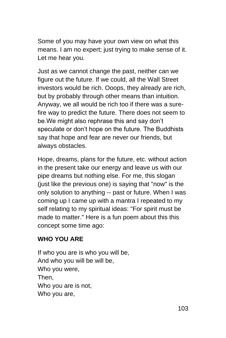Some of you may have your own view on what this means. I am no expert; just trying to make sense of it. Let me hear you.

Just as we cannot change the past, neither can we figure out the future. If we could, all the Wall Street investors would be rich. Ooops, they already are rich, but by probably through other means than intuition. Anyway, we all would be rich too if there was a surefire way to predict the future. There does not seem to be.We might also rephrase this and say don't speculate or don't hope on the future. The Buddhists say that hope and fear are never our friends, but always obstacles.

Hope, dreams, plans for the future, etc. without action in the present take our energy and leave us with our pipe dreams but nothing else. For me, this slogan (just like the previous one) is saying that "now" is the only solution to anything -- past or future. When I was coming up I came up with a mantra I repeated to my self relating to my spiritual ideas: "For spirit must be made to matter." Here is a fun poem about this this concept some time ago:

### **WHO YOU ARE**

If who you are is who you will be, And who you will be will be, Who you were, Then, Who you are is not, Who you are,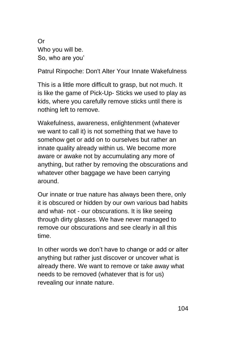Or Who you will be. So, who are you'

Patrul Rinpoche: Don't Alter Your Innate Wakefulness

This is a little more difficult to grasp, but not much. It is like the game of Pick-Up- Sticks we used to play as kids, where you carefully remove sticks until there is nothing left to remove.

Wakefulness, awareness, enlightenment (whatever we want to call it) is not something that we have to somehow get or add on to ourselves but rather an innate quality already within us. We become more aware or awake not by accumulating any more of anything, but rather by removing the obscurations and whatever other baggage we have been carrying around.

Our innate or true nature has always been there, only it is obscured or hidden by our own various bad habits and what- not - our obscurations. It is like seeing through dirty glasses. We have never managed to remove our obscurations and see clearly in all this time.

In other words we don't have to change or add or alter anything but rather just discover or uncover what is already there. We want to remove or take away what needs to be removed (whatever that is for us) revealing our innate nature.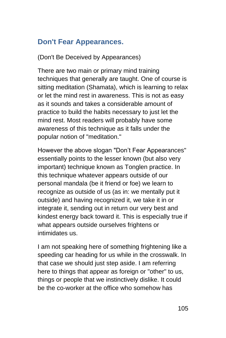## **Don't Fear Appearances.**

(Don't Be Deceived by Appearances)

There are two main or primary mind training techniques that generally are taught. One of course is sitting meditation (Shamata), which is learning to relax or let the mind rest in awareness. This is not as easy as it sounds and takes a considerable amount of practice to build the habits necessary to just let the mind rest. Most readers will probably have some awareness of this technique as it falls under the popular notion of "meditation."

However the above slogan "Don't Fear Appearances" essentially points to the lesser known (but also very important) technique known as Tonglen practice. In this technique whatever appears outside of our personal mandala (be it friend or foe) we learn to recognize as outside of us (as in: we mentally put it outside) and having recognized it, we take it in or integrate it, sending out in return our very best and kindest energy back toward it. This is especially true if what appears outside ourselves frightens or intimidates us.

I am not speaking here of something frightening like a speeding car heading for us while in the crosswalk. In that case we should just step aside. I am referring here to things that appear as foreign or "other" to us, things or people that we instinctively dislike. It could be the co-worker at the office who somehow has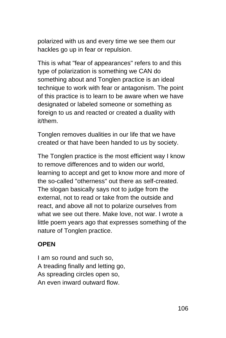polarized with us and every time we see them our hackles go up in fear or repulsion.

This is what "fear of appearances" refers to and this type of polarization is something we CAN do something about and Tonglen practice is an ideal technique to work with fear or antagonism. The point of this practice is to learn to be aware when we have designated or labeled someone or something as foreign to us and reacted or created a duality with it/them.

Tonglen removes dualities in our life that we have created or that have been handed to us by society.

The Tonglen practice is the most efficient way I know to remove differences and to widen our world, learning to accept and get to know more and more of the so-called "otherness" out there as self-created. The slogan basically says not to judge from the external, not to read or take from the outside and react, and above all not to polarize ourselves from what we see out there. Make love, not war. I wrote a little poem years ago that expresses something of the nature of Tonglen practice.

### **OPEN**

I am so round and such so, A treading finally and letting go, As spreading circles open so, An even inward outward flow.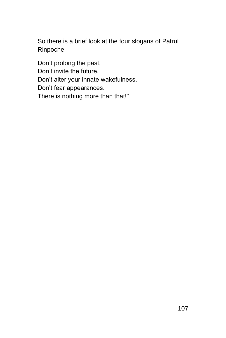So there is a brief look at the four slogans of Patrul Rinpoche:

Don't prolong the past, Don't invite the future, Don't alter your innate wakefulness, Don't fear appearances. There is nothing more than that!"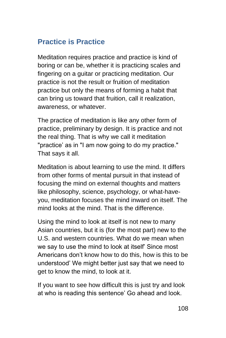# **Practice is Practice**

Meditation requires practice and practice is kind of boring or can be, whether it is practicing scales and fingering on a guitar or practicing meditation. Our practice is not the result or fruition of meditation practice but only the means of forming a habit that can bring us toward that fruition, call it realization, awareness, or whatever.

The practice of meditation is like any other form of practice, preliminary by design. It is practice and not the real thing. That is why we call it meditation "practice' as in "I am now going to do my practice." That says it all.

Meditation is about learning to use the mind. It differs from other forms of mental pursuit in that instead of focusing the mind on external thoughts and matters like philosophy, science, psychology, or what-haveyou, meditation focuses the mind inward on itself. The mind looks at the mind. That is the difference.

Using the mind to look at itself is not new to many Asian countries, but it is (for the most part) new to the U.S. and western countries. What do we mean when we say to use the mind to look at itself' Since most Americans don't know how to do this, how is this to be understood' We might better just say that we need to get to know the mind, to look at it.

If you want to see how difficult this is just try and look at who is reading this sentence' Go ahead and look.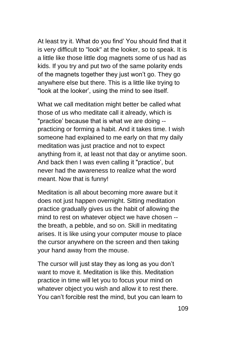At least try it. What do you find' You should find that it is very difficult to "look" at the looker, so to speak. It is a little like those little dog magnets some of us had as kids. If you try and put two of the same polarity ends of the magnets together they just won't go. They go anywhere else but there. This is a little like trying to "look at the looker', using the mind to see itself.

What we call meditation might better be called what those of us who meditate call it already, which is "practice' because that is what we are doing - practicing or forming a habit. And it takes time. I wish someone had explained to me early on that my daily meditation was just practice and not to expect anything from it, at least not that day or anytime soon. And back then I was even calling it "practice', but never had the awareness to realize what the word meant. Now that is funny!

Meditation is all about becoming more aware but it does not just happen overnight. Sitting meditation practice gradually gives us the habit of allowing the mind to rest on whatever object we have chosen - the breath, a pebble, and so on. Skill in meditating arises. It is like using your computer mouse to place the cursor anywhere on the screen and then taking your hand away from the mouse.

The cursor will just stay they as long as you don't want to move it. Meditation is like this. Meditation practice in time will let you to focus your mind on whatever object you wish and allow it to rest there. You can't forcible rest the mind, but you can learn to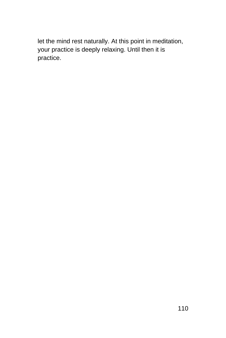let the mind rest naturally. At this point in meditation, your practice is deeply relaxing. Until then it is practice.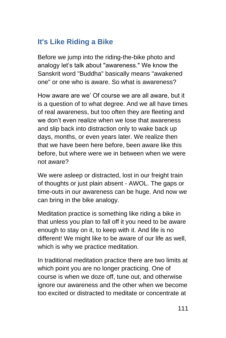## **It's Like Riding a Bike**

Before we jump into the riding-the-bike photo and analogy let's talk about "awareness." We know the Sanskrit word "Buddha" basically means "awakened one" or one who is aware. So what is awareness?

How aware are we' Of course we are all aware, but it is a question of to what degree. And we all have times of real awareness, but too often they are fleeting and we don't even realize when we lose that awareness and slip back into distraction only to wake back up days, months, or even years later. We realize then that we have been here before, been aware like this before, but where were we in between when we were not aware?

We were asleep or distracted, lost in our freight train of thoughts or just plain absent - AWOL. The gaps or time-outs in our awareness can be huge. And now we can bring in the bike analogy.

Meditation practice is something like riding a bike in that unless you plan to fall off it you need to be aware enough to stay on it, to keep with it. And life is no different! We might like to be aware of our life as well, which is why we practice meditation.

In traditional meditation practice there are two limits at which point you are no longer practicing. One of course is when we doze off, tune out, and otherwise ignore our awareness and the other when we become too excited or distracted to meditate or concentrate at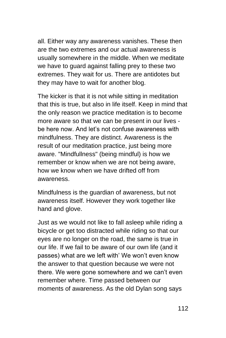all. Either way any awareness vanishes. These then are the two extremes and our actual awareness is usually somewhere in the middle. When we meditate we have to guard against falling prey to these two extremes. They wait for us. There are antidotes but they may have to wait for another blog.

The kicker is that it is not while sitting in meditation that this is true, but also in life itself. Keep in mind that the only reason we practice meditation is to become more aware so that we can be present in our lives be here now. And let's not confuse awareness with mindfulness. They are distinct. Awareness is the result of our meditation practice, just being more aware. "Mindfullness" (being mindful) is how we remember or know when we are not being aware, how we know when we have drifted off from awareness.

Mindfulness is the guardian of awareness, but not awareness itself. However they work together like hand and glove.

Just as we would not like to fall asleep while riding a bicycle or get too distracted while riding so that our eyes are no longer on the road, the same is true in our life. If we fail to be aware of our own life (and it passes) what are we left with' We won't even know the answer to that question because we were not there. We were gone somewhere and we can't even remember where. Time passed between our moments of awareness. As the old Dylan song says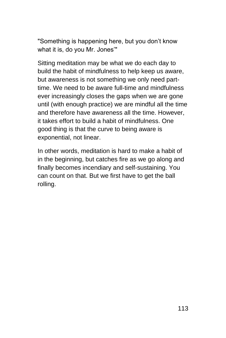"Something is happening here, but you don't know what it is, do you Mr. Jones'"

Sitting meditation may be what we do each day to build the habit of mindfulness to help keep us aware, but awareness is not something we only need parttime. We need to be aware full-time and mindfulness ever increasingly closes the gaps when we are gone until (with enough practice) we are mindful all the time and therefore have awareness all the time. However, it takes effort to build a habit of mindfulness. One good thing is that the curve to being aware is exponential, not linear.

In other words, meditation is hard to make a habit of in the beginning, but catches fire as we go along and finally becomes incendiary and self-sustaining. You can count on that. But we first have to get the ball rolling.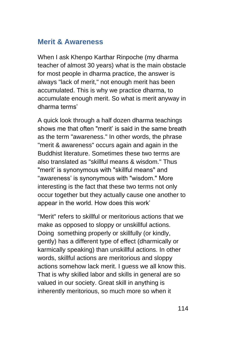#### **Merit & Awareness**

When I ask Khenpo Karthar Rinpoche (my dharma teacher of almost 30 years) what is the main obstacle for most people in dharma practice, the answer is always "lack of merit," not enough merit has been accumulated. This is why we practice dharma, to accumulate enough merit. So what is merit anyway in dharma terms'

A quick look through a half dozen dharma teachings shows me that often "merit' is said in the same breath as the term "awareness." In other words, the phrase "merit & awareness" occurs again and again in the Buddhist literature. Sometimes these two terms are also translated as "skillful means & wisdom." Thus "merit' is synonymous with "skillful means" and "awareness' is synonymous with "wisdom." More interesting is the fact that these two terms not only occur together but they actually cause one another to appear in the world. How does this work'

"Merit" refers to skillful or meritorious actions that we make as opposed to sloppy or unskillful actions. Doing something properly or skillfully (or kindly, gently) has a different type of effect (dharmically or karmically speaking) than unskillful actions. In other words, skillful actions are meritorious and sloppy actions somehow lack merit. I guess we all know this. That is why skilled labor and skills in general are so valued in our society. Great skill in anything is inherently meritorious, so much more so when it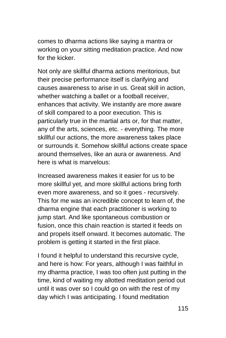comes to dharma actions like saying a mantra or working on your sitting meditation practice. And now for the kicker.

Not only are skillful dharma actions meritorious, but their precise performance itself is clarifying and causes awareness to arise in us. Great skill in action, whether watching a ballet or a football receiver, enhances that activity. We instantly are more aware of skill compared to a poor execution. This is particularly true in the martial arts or, for that matter, any of the arts, sciences, etc. - everything. The more skillful our actions, the more awareness takes place or surrounds it. Somehow skillful actions create space around themselves, like an aura or awareness. And here is what is marvelous:

Increased awareness makes it easier for us to be more skillful yet, and more skillful actions bring forth even more awareness, and so it goes - recursively. This for me was an incredible concept to learn of, the dharma engine that each practitioner is working to jump start. And like spontaneous combustion or fusion, once this chain reaction is started it feeds on and propels itself onward. It becomes automatic. The problem is getting it started in the first place.

I found it helpful to understand this recursive cycle, and here is how: For years, although I was faithful in my dharma practice, I was too often just putting in the time, kind of waiting my allotted meditation period out until it was over so I could go on with the rest of my day which I was anticipating. I found meditation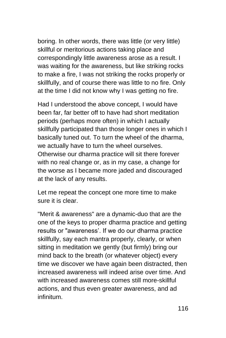boring. In other words, there was little (or very little) skillful or meritorious actions taking place and correspondingly little awareness arose as a result. I was waiting for the awareness, but like striking rocks to make a fire, I was not striking the rocks properly or skillfully, and of course there was little to no fire. Only at the time I did not know why I was getting no fire.

Had I understood the above concept, I would have been far, far better off to have had short meditation periods (perhaps more often) in which I actually skillfully participated than those longer ones in which I basically tuned out. To turn the wheel of the dharma, we actually have to turn the wheel ourselves. Otherwise our dharma practice will sit there forever with no real change or, as in my case, a change for the worse as I became more jaded and discouraged at the lack of any results.

Let me repeat the concept one more time to make sure it is clear.

"Merit & awareness" are a dynamic-duo that are the one of the keys to proper dharma practice and getting results or "awareness'. If we do our dharma practice skillfully, say each mantra properly, clearly, or when sitting in meditation we gently (but firmly) bring our mind back to the breath (or whatever object) every time we discover we have again been distracted, then increased awareness will indeed arise over time. And with increased awareness comes still more-skillful actions, and thus even greater awareness, and ad infinitum.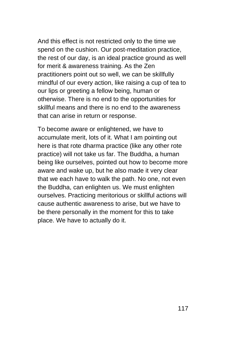And this effect is not restricted only to the time we spend on the cushion. Our post-meditation practice, the rest of our day, is an ideal practice ground as well for merit & awareness training. As the Zen practitioners point out so well, we can be skillfully mindful of our every action, like raising a cup of tea to our lips or greeting a fellow being, human or otherwise. There is no end to the opportunities for skillful means and there is no end to the awareness that can arise in return or response.

To become aware or enlightened, we have to accumulate merit, lots of it. What I am pointing out here is that rote dharma practice (like any other rote practice) will not take us far. The Buddha, a human being like ourselves, pointed out how to become more aware and wake up, but he also made it very clear that we each have to walk the path. No one, not even the Buddha, can enlighten us. We must enlighten ourselves. Practicing meritorious or skillful actions will cause authentic awareness to arise, but we have to be there personally in the moment for this to take place. We have to actually do it.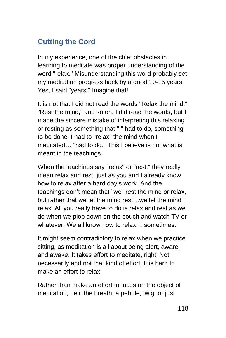# **Cutting the Cord**

In my experience, one of the chief obstacles in learning to meditate was proper understanding of the word "relax." Misunderstanding this word probably set my meditation progress back by a good 10-15 years. Yes, I said "years." Imagine that!

It is not that I did not read the words "Relax the mind," "Rest the mind," and so on. I did read the words, but I made the sincere mistake of interpreting this relaxing or resting as something that "I" had to do, something to be done. I had to "relax" the mind when I meditated… "had to do." This I believe is not what is meant in the teachings.

When the teachings say "relax" or "rest," they really mean relax and rest, just as you and I already know how to relax after a hard day's work. And the teachings don't mean that "we" rest the mind or relax, but rather that we let the mind rest…we let the mind relax. All you really have to do is relax and rest as we do when we plop down on the couch and watch TV or whatever. We all know how to relax sometimes

It might seem contradictory to relax when we practice sitting, as meditation is all about being alert, aware, and awake. It takes effort to meditate, right' Not necessarily and not that kind of effort. It is hard to make an effort to relax.

Rather than make an effort to focus on the object of meditation, be it the breath, a pebble, twig, or just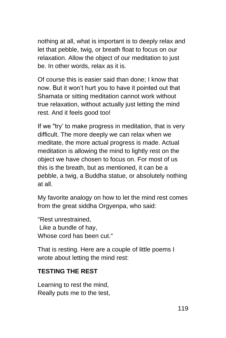nothing at all, what is important is to deeply relax and let that pebble, twig, or breath float to focus on our relaxation. Allow the object of our meditation to just be. In other words, relax as it is.

Of course this is easier said than done; I know that now. But it won't hurt you to have it pointed out that Shamata or sitting meditation cannot work without true relaxation, without actually just letting the mind rest. And it feels good too!

If we "try' to make progress in meditation, that is very difficult. The more deeply we can relax when we meditate, the more actual progress is made. Actual meditation is allowing the mind to lightly rest on the object we have chosen to focus on. For most of us this is the breath, but as mentioned, it can be a pebble, a twig, a Buddha statue, or absolutely nothing at all.

My favorite analogy on how to let the mind rest comes from the great siddha Orgyenpa, who said:

"Rest unrestrained, Like a bundle of hay, Whose cord has been cut."

That is resting. Here are a couple of little poems I wrote about letting the mind rest:

#### **TESTING THE REST**

Learning to rest the mind, Really puts me to the test,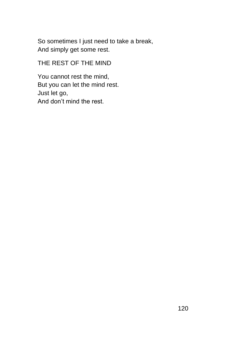So sometimes I just need to take a break, And simply get some rest.

THE REST OF THE MIND

You cannot rest the mind, But you can let the mind rest. Just let go, And don't mind the rest.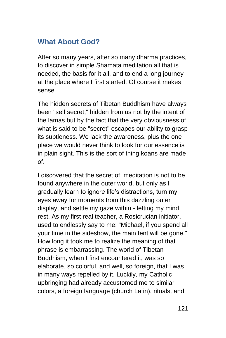### **What About God?**

After so many years, after so many dharma practices, to discover in simple Shamata meditation all that is needed, the basis for it all, and to end a long journey at the place where I first started. Of course it makes sense.

The hidden secrets of Tibetan Buddhism have always been "self secret," hidden from us not by the intent of the lamas but by the fact that the very obviousness of what is said to be "secret" escapes our ability to grasp its subtleness. We lack the awareness, plus the one place we would never think to look for our essence is in plain sight. This is the sort of thing koans are made of.

I discovered that the secret of meditation is not to be found anywhere in the outer world, but only as I gradually learn to ignore life's distractions, turn my eyes away for moments from this dazzling outer display, and settle my gaze within - letting my mind rest. As my first real teacher, a Rosicrucian initiator, used to endlessly say to me: "Michael, if you spend all your time in the sideshow, the main tent will be gone." How long it took me to realize the meaning of that phrase is embarrassing. The world of Tibetan Buddhism, when I first encountered it, was so elaborate, so colorful, and well, so foreign, that I was in many ways repelled by it. Luckily, my Catholic upbringing had already accustomed me to similar colors, a foreign language (church Latin), rituals, and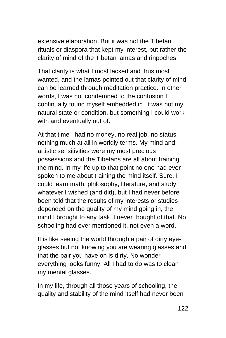extensive elaboration. But it was not the Tibetan rituals or diaspora that kept my interest, but rather the clarity of mind of the Tibetan lamas and rinpoches.

That clarity is what I most lacked and thus most wanted, and the lamas pointed out that clarity of mind can be learned through meditation practice. In other words, I was not condemned to the confusion I continually found myself embedded in. It was not my natural state or condition, but something I could work with and eventually out of.

At that time I had no money, no real job, no status, nothing much at all in worldly terms. My mind and artistic sensitivities were my most precious possessions and the Tibetans are all about training the mind. In my life up to that point no one had ever spoken to me about training the mind itself. Sure, I could learn math, philosophy, literature, and study whatever I wished (and did), but I had never before been told that the results of my interests or studies depended on the quality of my mind going in, the mind I brought to any task. I never thought of that. No schooling had ever mentioned it, not even a word.

It is like seeing the world through a pair of dirty eyeglasses but not knowing you are wearing glasses and that the pair you have on is dirty. No wonder everything looks funny. All I had to do was to clean my mental glasses.

In my life, through all those years of schooling, the quality and stability of the mind itself had never been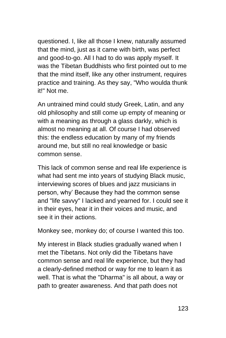questioned. I, like all those I knew, naturally assumed that the mind, just as it came with birth, was perfect and good-to-go. All I had to do was apply myself. It was the Tibetan Buddhists who first pointed out to me that the mind itself, like any other instrument, requires practice and training. As they say, "Who woulda thunk it!" Not me.

An untrained mind could study Greek, Latin, and any old philosophy and still come up empty of meaning or with a meaning as through a glass darkly, which is almost no meaning at all. Of course I had observed this: the endless education by many of my friends around me, but still no real knowledge or basic common sense.

This lack of common sense and real life experience is what had sent me into years of studying Black music, interviewing scores of blues and jazz musicians in person, why' Because they had the common sense and "life savvy" I lacked and yearned for. I could see it in their eyes, hear it in their voices and music, and see it in their actions.

Monkey see, monkey do; of course I wanted this too.

My interest in Black studies gradually waned when I met the Tibetans. Not only did the Tibetans have common sense and real life experience, but they had a clearly-defined method or way for me to learn it as well. That is what the "Dharma" is all about, a way or path to greater awareness. And that path does not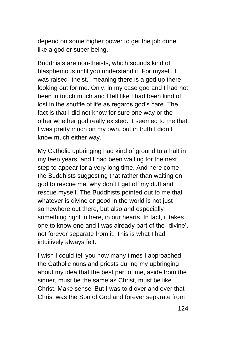depend on some higher power to get the job done, like a god or super being.

Buddhists are non-theists, which sounds kind of blasphemous until you understand it. For myself, I was raised "theist," meaning there is a god up there looking out for me. Only, in my case god and I had not been in touch much and I felt like I had been kind of lost in the shuffle of life as regards god's care. The fact is that I did not know for sure one way or the other whether god really existed. It seemed to me that I was pretty much on my own, but in truth I didn't know much either way.

My Catholic upbringing had kind of ground to a halt in my teen years, and I had been waiting for the next step to appear for a very long time. And here come the Buddhists suggesting that rather than waiting on god to rescue me, why don't I get off my duff and rescue myself. The Buddhists pointed out to me that whatever is divine or good in the world is not just somewhere out there, but also and especially something right in here, in our hearts. In fact, it takes one to know one and I was already part of the "divine', not forever separate from it. This is what I had intuitively always felt.

I wish I could tell you how many times I approached the Catholic nuns and priests during my upbringing about my idea that the best part of me, aside from the sinner, must be the same as Christ, must be like Christ. Make sense' But I was told over and over that Christ was the Son of God and forever separate from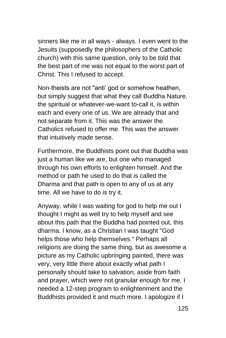sinners like me in all ways - always. I even went to the Jesuits (supposedly the philosophers of the Catholic church) with this same question, only to be told that the best part of me was not equal to the worst part of Christ. This I refused to accept.

Non-theists are not "anti' god or somehow heathen, but simply suggest that what they call Buddha Nature, the spiritual or whatever-we-want to-call it, is within each and every one of us. We are already that and not separate from it. This was the answer the Catholics refused to offer me. This was the answer that intuitively made sense.

Furthermore, the Buddhists point out that Buddha was just a human like we are, but one who managed through his own efforts to enlighten himself. And the method or path he used to do that is called the Dharma and that path is open to any of us at any time. All we have to do is try it.

Anyway, while I was waiting for god to help me out I thought I might as well try to help myself and see about this path that the Buddha had pointed out, this dharma. I know, as a Christian I was taught "God helps those who help themselves." Perhaps all religions are doing the same thing, but as awesome a picture as my Catholic upbringing painted, there was very, very little there about exactly what path I personally should take to salvation, aside from faith and prayer, which were not granular enough for me. I needed a 12-step program to enlightenment and the Buddhists provided it and much more. I apologize if I